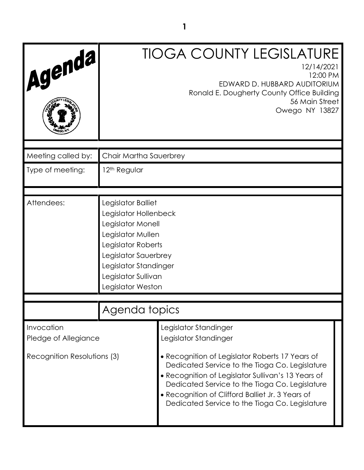| Agenda,                            |                                                                                                                                                                                                          | <b>TIOGA COUNTY LEGISLATURE</b><br>12/14/2021<br>12:00 PM<br>EDWARD D. HUBBARD AUDITORIUM<br>Ronald E. Dougherty County Office Building<br>56 Main Street<br>Owego NY 13827                                                                                                                                     |
|------------------------------------|----------------------------------------------------------------------------------------------------------------------------------------------------------------------------------------------------------|-----------------------------------------------------------------------------------------------------------------------------------------------------------------------------------------------------------------------------------------------------------------------------------------------------------------|
|                                    |                                                                                                                                                                                                          |                                                                                                                                                                                                                                                                                                                 |
| Meeting called by:                 | Chair Martha Sauerbrey                                                                                                                                                                                   |                                                                                                                                                                                                                                                                                                                 |
| Type of meeting:                   | 12 <sup>th</sup> Regular                                                                                                                                                                                 |                                                                                                                                                                                                                                                                                                                 |
|                                    |                                                                                                                                                                                                          |                                                                                                                                                                                                                                                                                                                 |
| Attendees:                         | Legislator Balliet<br>Legislator Hollenbeck<br>Legislator Monell<br>Legislator Mullen<br>Legislator Roberts<br>Legislator Sauerbrey<br>Legislator Standinger<br>Legislator Sullivan<br>Legislator Weston |                                                                                                                                                                                                                                                                                                                 |
|                                    | Agenda topics                                                                                                                                                                                            |                                                                                                                                                                                                                                                                                                                 |
| Invocation<br>Pledge of Allegiance |                                                                                                                                                                                                          | Legislator Standinger<br>Legislator Standinger                                                                                                                                                                                                                                                                  |
| Recognition Resolutions (3)        |                                                                                                                                                                                                          | • Recognition of Legislator Roberts 17 Years of<br>Dedicated Service to the Tioga Co. Legislature<br>• Recognition of Legislator Sullivan's 13 Years of<br>Dedicated Service to the Tioga Co. Legislature<br>• Recognition of Clifford Balliet Jr. 3 Years of<br>Dedicated Service to the Tioga Co. Legislature |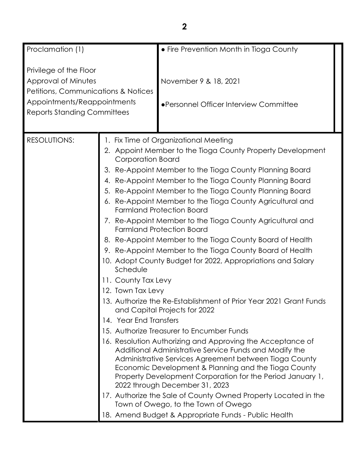| Proclamation (1)                                                                                                                                                     |                                                                                                                  | • Fire Prevention Month in Tioga County                                                                                                                                                                                                                                                                                                                                                                                                                                                                                                                                                                                                                                                                                                                                                                                                                                                                                                                                                                                                                                                                                                                                                                                                                                                                                                  |  |
|----------------------------------------------------------------------------------------------------------------------------------------------------------------------|------------------------------------------------------------------------------------------------------------------|------------------------------------------------------------------------------------------------------------------------------------------------------------------------------------------------------------------------------------------------------------------------------------------------------------------------------------------------------------------------------------------------------------------------------------------------------------------------------------------------------------------------------------------------------------------------------------------------------------------------------------------------------------------------------------------------------------------------------------------------------------------------------------------------------------------------------------------------------------------------------------------------------------------------------------------------------------------------------------------------------------------------------------------------------------------------------------------------------------------------------------------------------------------------------------------------------------------------------------------------------------------------------------------------------------------------------------------|--|
| Privilege of the Floor<br>Approval of Minutes<br><b>Petitions, Communications &amp; Notices</b><br>Appointments/Reappointments<br><b>Reports Standing Committees</b> |                                                                                                                  | November 9 & 18, 2021<br>•Personnel Officer Interview Committee                                                                                                                                                                                                                                                                                                                                                                                                                                                                                                                                                                                                                                                                                                                                                                                                                                                                                                                                                                                                                                                                                                                                                                                                                                                                          |  |
| <b>RESOLUTIONS:</b>                                                                                                                                                  | <b>Corporation Board</b><br>6.<br>Schedule<br>11. County Tax Levy<br>12. Town Tax Levy<br>14. Year End Transfers | 1. Fix Time of Organizational Meeting<br>2. Appoint Member to the Tioga County Property Development<br>3. Re-Appoint Member to the Tioga County Planning Board<br>4. Re-Appoint Member to the Tioga County Planning Board<br>5. Re-Appoint Member to the Tioga County Planning Board<br>Re-Appoint Member to the Tioga County Agricultural and<br><b>Farmland Protection Board</b><br>7. Re-Appoint Member to the Tioga County Agricultural and<br><b>Farmland Protection Board</b><br>8. Re-Appoint Member to the Tioga County Board of Health<br>9. Re-Appoint Member to the Tioga County Board of Health<br>10. Adopt County Budget for 2022, Appropriations and Salary<br>13. Authorize the Re-Establishment of Prior Year 2021 Grant Funds<br>and Capital Projects for 2022<br>15. Authorize Treasurer to Encumber Funds<br>16. Resolution Authorizing and Approving the Acceptance of<br>Additional Administrative Service Funds and Modify the<br>Administrative Services Agreement between Tioga County<br>Economic Development & Planning and the Tioga County<br>Property Development Corporation for the Period January 1,<br>2022 through December 31, 2023<br>17. Authorize the Sale of County Owned Property Located in the<br>Town of Owego, to the Town of Owego<br>18. Amend Budget & Appropriate Funds - Public Health |  |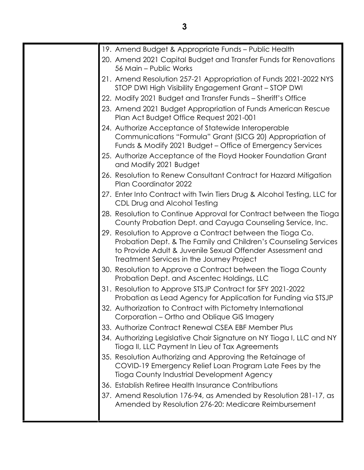|  | 19. Amend Budget & Appropriate Funds - Public Health                                                                                                                                                                                     |
|--|------------------------------------------------------------------------------------------------------------------------------------------------------------------------------------------------------------------------------------------|
|  | 20. Amend 2021 Capital Budget and Transfer Funds for Renovations<br>56 Main - Public Works                                                                                                                                               |
|  | 21. Amend Resolution 257-21 Appropriation of Funds 2021-2022 NYS<br>STOP DWI High Visibility Engagement Grant - STOP DWI                                                                                                                 |
|  | 22. Modify 2021 Budget and Transfer Funds - Sheriff's Office                                                                                                                                                                             |
|  | 23. Amend 2021 Budget Appropriation of Funds American Rescue<br>Plan Act Budget Office Request 2021-001                                                                                                                                  |
|  | 24. Authorize Acceptance of Statewide Interoperable<br>Communications "Formula" Grant (SICG 20) Appropriation of<br>Funds & Modify 2021 Budget - Office of Emergency Services                                                            |
|  | 25. Authorize Acceptance of the Floyd Hooker Foundation Grant<br>and Modify 2021 Budget                                                                                                                                                  |
|  | 26. Resolution to Renew Consultant Contract for Hazard Mitigation<br>Plan Coordinator 2022                                                                                                                                               |
|  | 27. Enter Into Contract with Twin Tiers Drug & Alcohol Testing, LLC for<br>CDL Drug and Alcohol Testing                                                                                                                                  |
|  | 28. Resolution to Continue Approval for Contract between the Tioga<br>County Probation Dept. and Cayuga Counseling Service, Inc.                                                                                                         |
|  | 29. Resolution to Approve a Contract between the Tioga Co.<br>Probation Dept. & The Family and Children's Counseling Services<br>to Provide Adult & Juvenile Sexual Offender Assessment and<br>Treatment Services in the Journey Project |
|  | 30. Resolution to Approve a Contract between the Tioga County<br>Probation Dept. and Ascentec Holdings, LLC                                                                                                                              |
|  | 31. Resolution to Approve STSJP Contract for SFY 2021-2022<br>Probation as Lead Agency for Application for Funding via STSJP                                                                                                             |
|  | 32. Authorization to Contract with Pictometry International<br>Corporation – Ortho and Oblique GIS Imagery                                                                                                                               |
|  | 33. Authorize Contract Renewal CSEA EBF Member Plus                                                                                                                                                                                      |
|  | 34. Authorizing Legislative Chair Signature on NY Tioga I, LLC and NY<br>Tioga II, LLC Payment In Lieu of Tax Agreements                                                                                                                 |
|  | 35. Resolution Authorizing and Approving the Retainage of<br>COVID-19 Emergency Relief Loan Program Late Fees by the<br>Tioga County Industrial Development Agency                                                                       |
|  | 36. Establish Retiree Health Insurance Contributions                                                                                                                                                                                     |
|  | 37. Amend Resolution 176-94, as Amended by Resolution 281-17, as<br>Amended by Resolution 276-20: Medicare Reimbursement                                                                                                                 |
|  |                                                                                                                                                                                                                                          |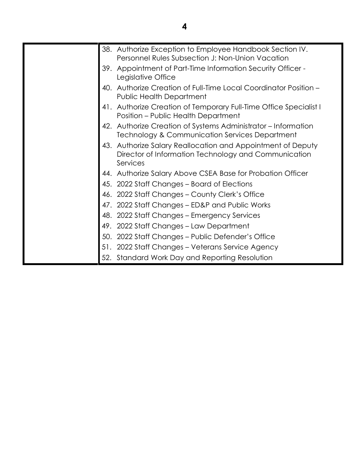|     | 38. Authorize Exception to Employee Handbook Section IV.<br>Personnel Rules Subsection J: Non-Union Vacation                |
|-----|-----------------------------------------------------------------------------------------------------------------------------|
|     | 39. Appointment of Part-Time Information Security Officer -<br>Legislative Office                                           |
|     | 40. Authorize Creation of Full-Time Local Coordinator Position -<br><b>Public Health Department</b>                         |
|     | 41. Authorize Creation of Temporary Full-Time Office Specialist I<br>Position - Public Health Department                    |
|     | 42. Authorize Creation of Systems Administrator - Information<br>Technology & Communication Services Department             |
| 43. | Authorize Salary Reallocation and Appointment of Deputy<br>Director of Information Technology and Communication<br>Services |
|     | 44. Authorize Salary Above CSEA Base for Probation Officer                                                                  |
|     | 45. 2022 Staff Changes - Board of Elections                                                                                 |
|     | 46. 2022 Staff Changes - County Clerk's Office                                                                              |
|     | 47. 2022 Staff Changes - ED&P and Public Works                                                                              |
|     | 48. 2022 Staff Changes – Emergency Services                                                                                 |
| 49. | 2022 Staff Changes - Law Department                                                                                         |
| 50. | 2022 Staff Changes – Public Defender's Office                                                                               |
|     | 51. 2022 Staff Changes - Veterans Service Agency                                                                            |
| 52. | Standard Work Day and Reporting Resolution                                                                                  |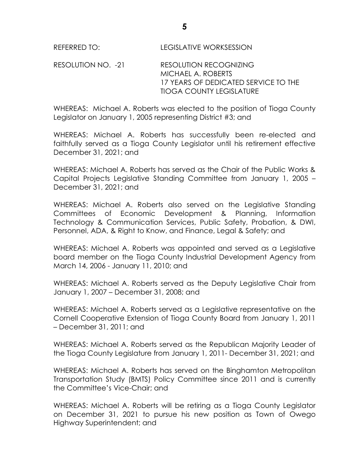RESOLUTION NO. -21 RESOLUTION RECOGNIZING MICHAEL A. ROBERTS 17 YEARS OF DEDICATED SERVICE TO THE TIOGA COUNTY LEGISLATURE

WHEREAS: Michael A. Roberts was elected to the position of Tioga County Legislator on January 1, 2005 representing District #3; and

WHEREAS: Michael A. Roberts has successfully been re-elected and faithfully served as a Tioga County Legislator until his retirement effective December 31, 2021; and

WHEREAS: Michael A. Roberts has served as the Chair of the Public Works & Capital Projects Legislative Standing Committee from January 1, 2005 – December 31, 2021; and

WHEREAS: Michael A. Roberts also served on the Legislative Standing Committees of Economic Development & Planning, Information Technology & Communication Services, Public Safety, Probation, & DWI, Personnel, ADA, & Right to Know, and Finance, Legal & Safety; and

WHEREAS: Michael A. Roberts was appointed and served as a Legislative board member on the Tioga County Industrial Development Agency from March 14, 2006 - January 11, 2010; and

WHEREAS: Michael A. Roberts served as the Deputy Legislative Chair from January 1, 2007 – December 31, 2008; and

WHEREAS: Michael A. Roberts served as a Legislative representative on the Cornell Cooperative Extension of Tioga County Board from January 1, 2011 – December 31, 2011; and

WHEREAS: Michael A. Roberts served as the Republican Majority Leader of the Tioga County Legislature from January 1, 2011- December 31, 2021; and

WHEREAS: Michael A. Roberts has served on the Binghamton Metropolitan Transportation Study (BMTS) Policy Committee since 2011 and is currently the Committee's Vice-Chair; and

WHEREAS: Michael A. Roberts will be retiring as a Tioga County Legislator on December 31, 2021 to pursue his new position as Town of Owego Highway Superintendent; and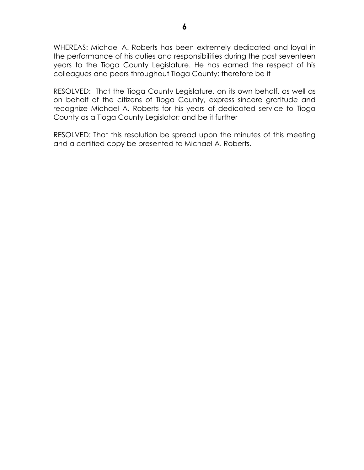WHEREAS: Michael A. Roberts has been extremely dedicated and loyal in the performance of his duties and responsibilities during the past seventeen years to the Tioga County Legislature. He has earned the respect of his colleagues and peers throughout Tioga County; therefore be it

RESOLVED: That the Tioga County Legislature, on its own behalf, as well as on behalf of the citizens of Tioga County, express sincere gratitude and recognize Michael A. Roberts for his years of dedicated service to Tioga County as a Tioga County Legislator; and be it further

RESOLVED: That this resolution be spread upon the minutes of this meeting and a certified copy be presented to Michael A. Roberts.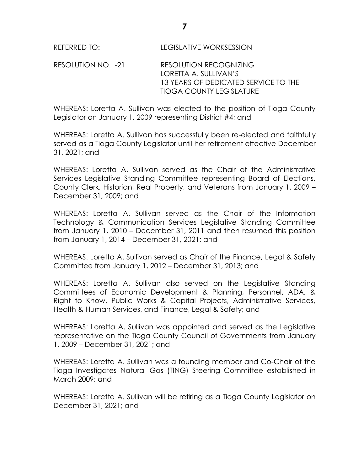RESOLUTION NO. -21 RESOLUTION RECOGNIZING LORETTA A. SULLIVAN'S 13 YEARS OF DEDICATED SERVICE TO THE TIOGA COUNTY LEGISLATURE

WHEREAS: Loretta A. Sullivan was elected to the position of Tioga County Legislator on January 1, 2009 representing District #4; and

WHEREAS: Loretta A. Sullivan has successfully been re-elected and faithfully served as a Tioga County Legislator until her retirement effective December 31, 2021; and

WHEREAS: Loretta A. Sullivan served as the Chair of the Administrative Services Legislative Standing Committee representing Board of Elections, County Clerk, Historian, Real Property, and Veterans from January 1, 2009 – December 31, 2009; and

WHEREAS: Loretta A. Sullivan served as the Chair of the Information Technology & Communication Services Legislative Standing Committee from January 1, 2010 – December 31, 2011 and then resumed this position from January 1, 2014 – December 31, 2021; and

WHEREAS: Loretta A. Sullivan served as Chair of the Finance, Legal & Safety Committee from January 1, 2012 – December 31, 2013; and

WHEREAS: Loretta A. Sullivan also served on the Legislative Standing Committees of Economic Development & Planning, Personnel, ADA, & Right to Know, Public Works & Capital Projects, Administrative Services, Health & Human Services, and Finance, Legal & Safety; and

WHEREAS: Loretta A. Sullivan was appointed and served as the Legislative representative on the Tioga County Council of Governments from January 1, 2009 – December 31, 2021; and

WHEREAS: Loretta A. Sullivan was a founding member and Co-Chair of the Tioga Investigates Natural Gas (TING) Steering Committee established in March 2009; and

WHEREAS: Loretta A. Sullivan will be retiring as a Tioga County Legislator on December 31, 2021; and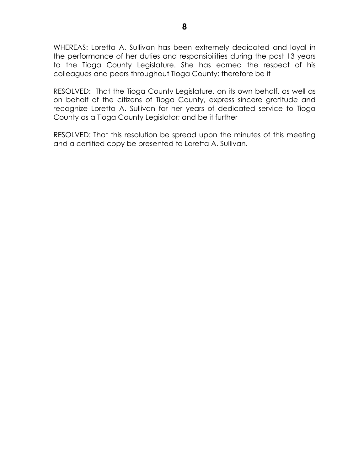WHEREAS: Loretta A. Sullivan has been extremely dedicated and loyal in the performance of her duties and responsibilities during the past 13 years to the Tioga County Legislature. She has earned the respect of his colleagues and peers throughout Tioga County; therefore be it

RESOLVED: That the Tioga County Legislature, on its own behalf, as well as on behalf of the citizens of Tioga County, express sincere gratitude and recognize Loretta A. Sullivan for her years of dedicated service to Tioga County as a Tioga County Legislator; and be it further

RESOLVED: That this resolution be spread upon the minutes of this meeting and a certified copy be presented to Loretta A. Sullivan.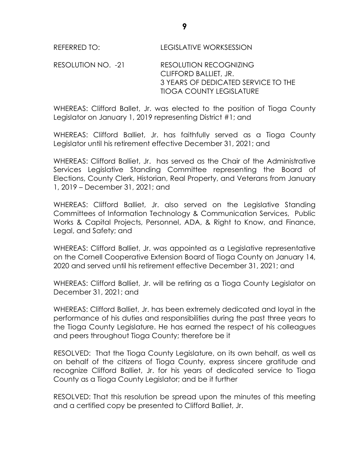RESOLUTION NO. -21 RESOLUTION RECOGNIZING CLIFFORD BALLIET, JR. 3 YEARS OF DEDICATED SERVICE TO THE TIOGA COUNTY LEGISLATURE

WHEREAS: Clifford Ballet, Jr. was elected to the position of Tioga County Legislator on January 1, 2019 representing District #1; and

WHEREAS: Clifford Balliet, Jr. has faithfully served as a Tioga County Legislator until his retirement effective December 31, 2021; and

WHEREAS: Clifford Balliet, Jr. has served as the Chair of the Administrative Services Legislative Standing Committee representing the Board of Elections, County Clerk, Historian, Real Property, and Veterans from January 1, 2019 – December 31, 2021; and

WHEREAS: Clifford Balliet, Jr. also served on the Legislative Standing Committees of Information Technology & Communication Services, Public Works & Capital Projects, Personnel, ADA, & Right to Know, and Finance, Legal, and Safety; and

WHEREAS: Clifford Balliet, Jr. was appointed as a Legislative representative on the Cornell Cooperative Extension Board of Tioga County on January 14, 2020 and served until his retirement effective December 31, 2021; and

WHEREAS: Clifford Balliet, Jr. will be retiring as a Tioga County Legislator on December 31, 2021; and

WHEREAS: Clifford Balliet, Jr. has been extremely dedicated and loyal in the performance of his duties and responsibilities during the past three years to the Tioga County Legislature. He has earned the respect of his colleagues and peers throughout Tioga County; therefore be it

RESOLVED: That the Tioga County Legislature, on its own behalf, as well as on behalf of the citizens of Tioga County, express sincere gratitude and recognize Clifford Balliet, Jr. for his years of dedicated service to Tioga County as a Tioga County Legislator; and be it further

RESOLVED: That this resolution be spread upon the minutes of this meeting and a certified copy be presented to Clifford Balliet, Jr.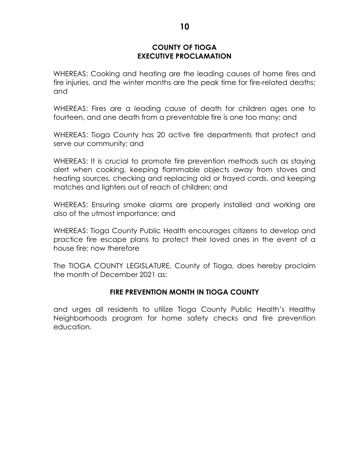## **COUNTY OF TIOGA EXECUTIVE PROCLAMATION**

WHEREAS: Cooking and heating are the leading causes of home fires and fire injuries, and the winter months are the peak time for fire-related deaths; and

WHEREAS: Fires are a leading cause of death for children ages one to fourteen, and one death from a preventable fire is one too many; and

WHEREAS: Tioga County has 20 active fire departments that protect and serve our community; and

WHEREAS: It is crucial to promote fire prevention methods such as staying alert when cooking, keeping flammable objects away from stoves and heating sources, checking and replacing old or frayed cords, and keeping matches and lighters out of reach of children; and

WHEREAS: Ensuring smoke alarms are properly installed and working are also of the utmost importance; and

WHEREAS: Tioga County Public Health encourages citizens to develop and practice fire escape plans to protect their loved ones in the event of a house fire; now therefore

The TIOGA COUNTY LEGISLATURE, County of Tioga, does hereby proclaim the month of December 2021 as:

# **FIRE PREVENTION MONTH IN TIOGA COUNTY**

and urges all residents to utilize Tioga County Public Health's Healthy Neighborhoods program for home safety checks and fire prevention education.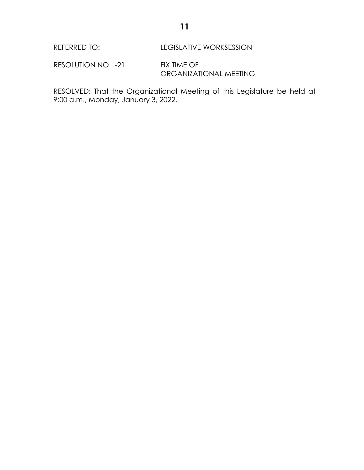REFERRED TO: LEGISLATIVE WORKSESSION

RESOLUTION NO. -21 FIX TIME OF ORGANIZATIONAL MEETING

RESOLVED: That the Organizational Meeting of this Legislature be held at 9:00 a.m., Monday, January 3, 2022.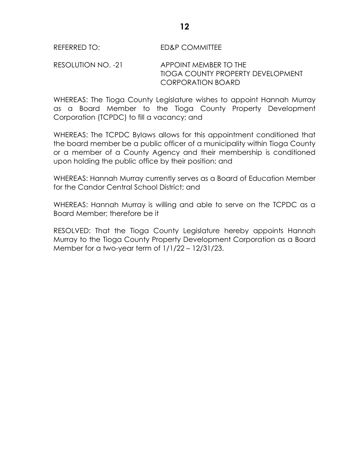## RESOLUTION NO. -21 APPOINT MEMBER TO THE TIOGA COUNTY PROPERTY DEVELOPMENT CORPORATION BOARD

WHEREAS: The Tioga County Legislature wishes to appoint Hannah Murray as a Board Member to the Tioga County Property Development Corporation (TCPDC) to fill a vacancy; and

WHEREAS: The TCPDC Bylaws allows for this appointment conditioned that the board member be a public officer of a municipality within Tioga County or a member of a County Agency and their membership is conditioned upon holding the public office by their position; and

WHEREAS: Hannah Murray currently serves as a Board of Education Member for the Candor Central School District; and

WHEREAS: Hannah Murray is willing and able to serve on the TCPDC as a Board Member; therefore be it

RESOLVED: That the Tioga County Legislature hereby appoints Hannah Murray to the Tioga County Property Development Corporation as a Board Member for a two-year term of 1/1/22 – 12/31/23.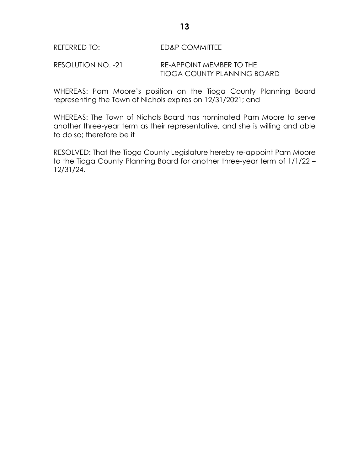## REFERRED TO: ED&P COMMITTEE

#### RESOLUTION NO. -21 RE-APPOINT MEMBER TO THE TIOGA COUNTY PLANNING BOARD

WHEREAS: Pam Moore's position on the Tioga County Planning Board representing the Town of Nichols expires on 12/31/2021; and

WHEREAS: The Town of Nichols Board has nominated Pam Moore to serve another three-year term as their representative, and she is willing and able to do so; therefore be it

RESOLVED: That the Tioga County Legislature hereby re-appoint Pam Moore to the Tioga County Planning Board for another three-year term of 1/1/22 – 12/31/24.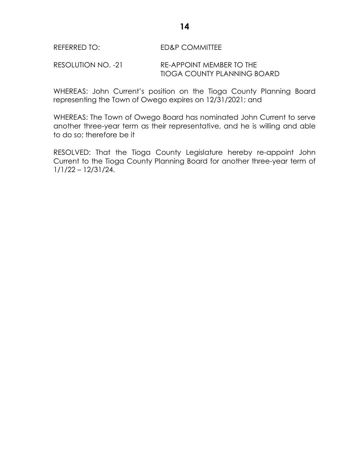## REFERRED TO: ED&P COMMITTEE

RESOLUTION NO. -21 RE-APPOINT MEMBER TO THE TIOGA COUNTY PLANNING BOARD

WHEREAS: John Current's position on the Tioga County Planning Board representing the Town of Owego expires on 12/31/2021; and

WHEREAS: The Town of Owego Board has nominated John Current to serve another three-year term as their representative, and he is willing and able to do so; therefore be it

RESOLVED: That the Tioga County Legislature hereby re-appoint John Current to the Tioga County Planning Board for another three-year term of 1/1/22 – 12/31/24.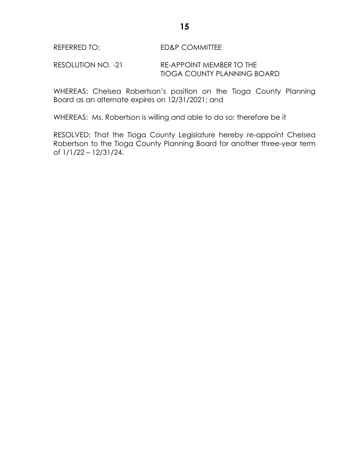RESOLUTION NO. -21 RE-APPOINT MEMBER TO THE TIOGA COUNTY PLANNING BOARD

WHEREAS: Chelsea Robertson's position on the Tioga County Planning Board as an alternate expires on 12/31/2021; and

WHEREAS: Ms. Robertson is willing and able to do so; therefore be it

RESOLVED: That the Tioga County Legislature hereby re-appoint Chelsea Robertson to the Tioga County Planning Board for another three-year term of 1/1/22 – 12/31/24.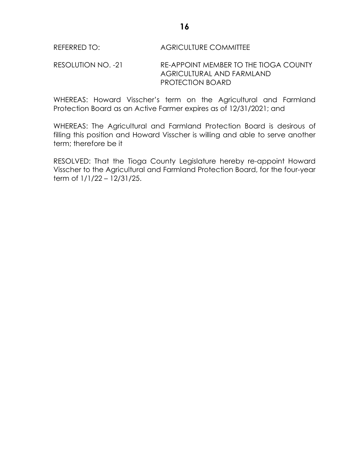## REFERRED TO: AGRICULTURE COMMITTEE

## RESOLUTION NO. -21 RE-APPOINT MEMBER TO THE TIOGA COUNTY AGRICULTURAL AND FARMLAND PROTECTION BOARD

WHEREAS: Howard Visscher's term on the Agricultural and Farmland Protection Board as an Active Farmer expires as of 12/31/2021; and

WHEREAS: The Agricultural and Farmland Protection Board is desirous of filling this position and Howard Visscher is willing and able to serve another term; therefore be it

RESOLVED: That the Tioga County Legislature hereby re-appoint Howard Visscher to the Agricultural and Farmland Protection Board, for the four-year term of 1/1/22 – 12/31/25.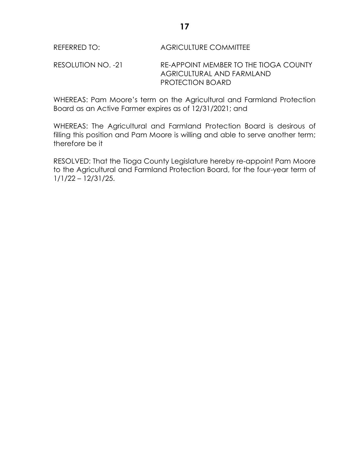## REFERRED TO: AGRICULTURE COMMITTEE

RESOLUTION NO. -21 RE-APPOINT MEMBER TO THE TIOGA COUNTY AGRICULTURAL AND FARMLAND PROTECTION BOARD

WHEREAS: Pam Moore's term on the Agricultural and Farmland Protection Board as an Active Farmer expires as of 12/31/2021; and

WHEREAS: The Agricultural and Farmland Protection Board is desirous of filling this position and Pam Moore is willing and able to serve another term; therefore be it

RESOLVED: That the Tioga County Legislature hereby re-appoint Pam Moore to the Agricultural and Farmland Protection Board, for the four-year term of 1/1/22 – 12/31/25.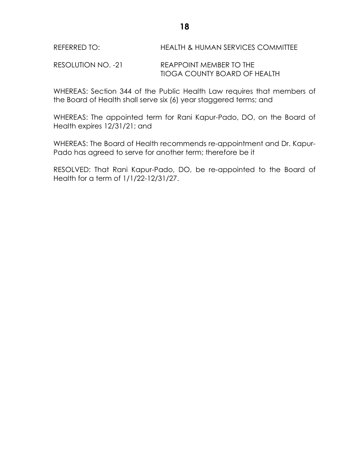REFERRED TO: HEALTH & HUMAN SERVICES COMMITTEE

RESOLUTION NO. -21 REAPPOINT MEMBER TO THE TIOGA COUNTY BOARD OF HEALTH

WHEREAS: Section 344 of the Public Health Law requires that members of the Board of Health shall serve six (6) year staggered terms; and

WHEREAS: The appointed term for Rani Kapur-Pado, DO, on the Board of Health expires 12/31/21; and

WHEREAS: The Board of Health recommends re-appointment and Dr. Kapur-Pado has agreed to serve for another term; therefore be it

RESOLVED: That Rani Kapur-Pado, DO, be re-appointed to the Board of Health for a term of 1/1/22-12/31/27.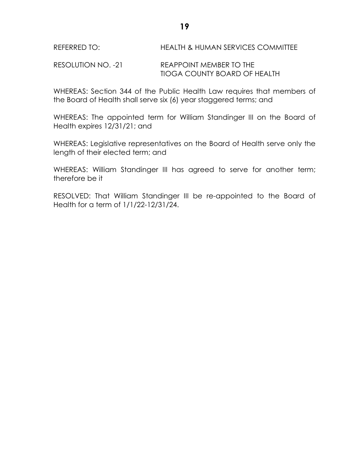RESOLUTION NO. -21 REAPPOINT MEMBER TO THE TIOGA COUNTY BOARD OF HEALTH

WHEREAS: Section 344 of the Public Health Law requires that members of the Board of Health shall serve six (6) year staggered terms; and

WHEREAS: The appointed term for William Standinger III on the Board of Health expires 12/31/21; and

WHEREAS: Legislative representatives on the Board of Health serve only the length of their elected term; and

WHEREAS: William Standinger III has agreed to serve for another term; therefore be it

RESOLVED: That William Standinger III be re-appointed to the Board of Health for a term of 1/1/22-12/31/24.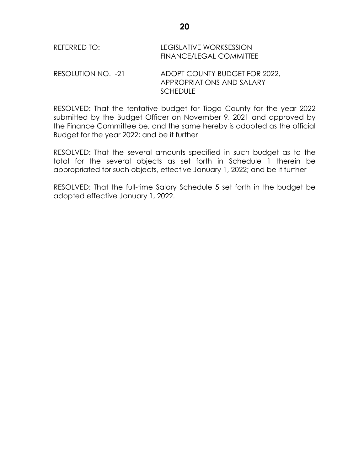| REFERRED TO:       | <b>LEGISLATIVE WORKSESSION</b><br><b>FINANCE/LEGAL COMMITTEE</b>              |
|--------------------|-------------------------------------------------------------------------------|
| RESOLUTION NO. -21 | ADOPT COUNTY BUDGET FOR 2022,<br>APPROPRIATIONS AND SALARY<br><b>SCHEDULE</b> |

RESOLVED: That the tentative budget for Tioga County for the year 2022 submitted by the Budget Officer on November 9, 2021 and approved by the Finance Committee be, and the same hereby is adopted as the official Budget for the year 2022; and be it further

RESOLVED: That the several amounts specified in such budget as to the total for the several objects as set forth in Schedule 1 therein be appropriated for such objects, effective January 1, 2022; and be it further

RESOLVED: That the full-time Salary Schedule 5 set forth in the budget be adopted effective January 1, 2022.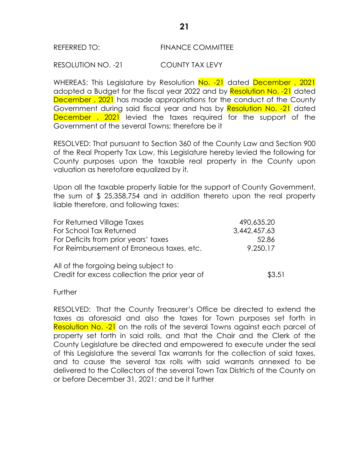#### REFERRED TO: FINANCE COMMITTEE

#### RESOLUTION NO. -21 COUNTY TAX LEVY

WHEREAS: This Legislature by Resolution No. -21 dated December, 2021 adopted a Budget for the fiscal year 2022 and by Resolution No. -21 dated December, 2021 has made appropriations for the conduct of the County Government during said fiscal year and has by Resolution No. -21 dated December, 2021 levied the taxes required for the support of the Government of the several Towns; therefore be it

RESOLVED: That pursuant to Section 360 of the County Law and Section 900 of the Real Property Tax Law, this Legislature hereby levied the following for County purposes upon the taxable real property in the County upon valuation as heretofore equalized by it.

Upon all the taxable property liable for the support of County Government, the sum of \$ 25,358,754 and in addition thereto upon the real property liable therefore, and following taxes:

| For Returned Village Taxes                     | 490,635.20   |
|------------------------------------------------|--------------|
| For School Tax Returned                        | 3,442,457.63 |
| For Deficits from prior years' taxes           | 52.86        |
| For Reimbursement of Erroneous taxes, etc.     | 9,250.17     |
| All of the forgoing being subject to           |              |
| Credit for excess collection the prior year of | \$3.51       |

**Further** 

RESOLVED: That the County Treasurer's Office be directed to extend the taxes as aforesaid and also the taxes for Town purposes set forth in Resolution No. -21 on the rolls of the several Towns against each parcel of property set forth in said rolls, and that the Chair and the Clerk of the County Legislature be directed and empowered to execute under the seal of this Legislature the several Tax warrants for the collection of said taxes, and to cause the several tax rolls with said warrants annexed to be delivered to the Collectors of the several Town Tax Districts of the County on or before December 31, 2021; and be it further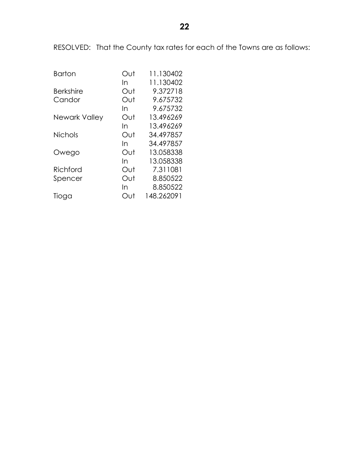RESOLVED: That the County tax rates for each of the Towns are as follows:

| <b>Barton</b>    | Out | 11.130402  |
|------------------|-----|------------|
|                  | In  | 11.130402  |
| <b>Berkshire</b> | Out | 9.372718   |
| Candor           | Out | 9.675732   |
|                  | In  | 9.675732   |
| Newark Valley    | Out | 13.496269  |
|                  | In  | 13.496269  |
| <b>Nichols</b>   | Out | 34.497857  |
|                  | In  | 34.497857  |
| Owego            | Out | 13.058338  |
|                  | In  | 13.058338  |
| Richford         | Out | 7.311081   |
| Spencer          | Out | 8.850522   |
|                  | In  | 8.850522   |
| Tioga            | Out | 148.262091 |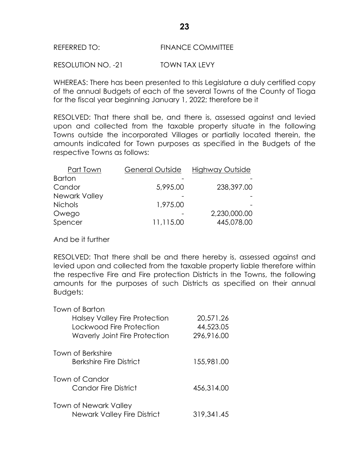#### REFERRED TO: FINANCE COMMITTEE

RESOLUTION NO. -21 TOWN TAX LEVY

WHEREAS: There has been presented to this Legislature a duly certified copy of the annual Budgets of each of the several Towns of the County of Tioga for the fiscal year beginning January 1, 2022; therefore be it

RESOLVED: That there shall be, and there is, assessed against and levied upon and collected from the taxable property situate in the following Towns outside the incorporated Villages or partially located therein, the amounts indicated for Town purposes as specified in the Budgets of the respective Towns as follows:

| Part Town      | <b>General Outside</b> | <b>Highway Outside</b> |
|----------------|------------------------|------------------------|
| <b>Barton</b>  |                        |                        |
| Candor         | 5,995.00               | 238,397.00             |
| Newark Valley  |                        |                        |
| <b>Nichols</b> | 1,975.00               |                        |
| Owego          |                        | 2,230,000.00           |
| Spencer        | 11,115.00              | 445,078.00             |

And be it further

RESOLVED: That there shall be and there hereby is, assessed against and levied upon and collected from the taxable property liable therefore within the respective Fire and Fire protection Districts in the Towns, the following amounts for the purposes of such Districts as specified on their annual Budgets:

| Town of Barton                       |            |
|--------------------------------------|------------|
| <b>Halsey Valley Fire Protection</b> | 20,571.26  |
| Lockwood Fire Protection             | 44,523.05  |
| Waverly Joint Fire Protection        | 296,916.00 |
| Town of Berkshire                    |            |
| Berkshire Fire District              | 155,981.00 |
|                                      |            |
| Town of Candor                       |            |
| Candor Fire District                 | 456,314.00 |
| <b>Town of Newark Valley</b>         |            |
| <b>Newark Valley Fire District</b>   | 319.341.45 |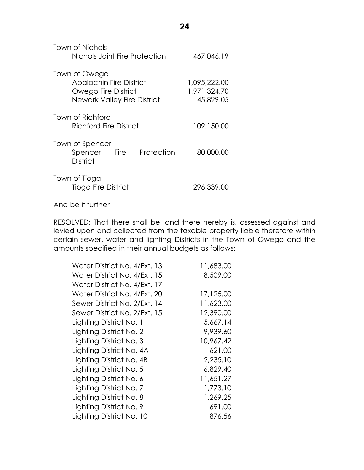| Town of Nichols<br>Nichols Joint Fire Protection                                                      | 467,046.19                                |
|-------------------------------------------------------------------------------------------------------|-------------------------------------------|
| Town of Owego<br><b>Apalachin Fire District</b><br>Owego Fire District<br>Newark Valley Fire District | 1,095,222.00<br>1,971,324.70<br>45,829.05 |
| Town of Richford<br>Richford Fire District                                                            | 109,150.00                                |
| Town of Spencer<br>Protection<br><b>Fire</b><br>Spencer<br><b>District</b>                            | 80,000.00                                 |
| Town of Tioga<br>Tioga Fire District                                                                  | 296,339.00                                |

And be it further

RESOLVED: That there shall be, and there hereby is, assessed against and levied upon and collected from the taxable property liable therefore within certain sewer, water and lighting Districts in the Town of Owego and the amounts specified in their annual budgets as follows:

| Water District No. 4/Ext. 13 | 11,683.00 |
|------------------------------|-----------|
| Water District No. 4/Ext. 15 | 8,509.00  |
| Water District No. 4/Ext. 17 |           |
| Water District No. 4/Ext. 20 | 17,125.00 |
| Sewer District No. 2/Ext. 14 | 11,623.00 |
| Sewer District No. 2/Ext. 15 | 12,390.00 |
| Lighting District No. 1      | 5,667.14  |
| Lighting District No. 2      | 9,939.60  |
| Lighting District No. 3      | 10,967.42 |
| Lighting District No. 4A     | 621.00    |
| Lighting District No. 4B     | 2,235.10  |
| Lighting District No. 5      | 6,829.40  |
| Lighting District No. 6      | 11,651.27 |
| Lighting District No. 7      | 1,773.10  |
| Lighting District No. 8      | 1,269.25  |
| Lighting District No. 9      | 691.00    |
| Lighting District No. 10     | 876.56    |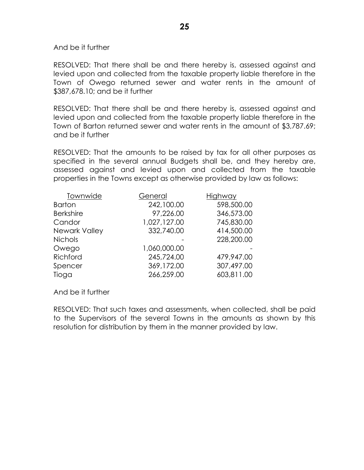And be it further

RESOLVED: That there shall be and there hereby is, assessed against and levied upon and collected from the taxable property liable therefore in the Town of Owego returned sewer and water rents in the amount of \$387,678.10; and be it further

RESOLVED: That there shall be and there hereby is, assessed against and levied upon and collected from the taxable property liable therefore in the Town of Barton returned sewer and water rents in the amount of \$3,787.69; and be it further

RESOLVED: That the amounts to be raised by tax for all other purposes as specified in the several annual Budgets shall be, and they hereby are, assessed against and levied upon and collected from the taxable properties in the Towns except as otherwise provided by law as follows:

| Townwide         | General      | Highway    |
|------------------|--------------|------------|
| <b>Barton</b>    | 242,100.00   | 598,500.00 |
| <b>Berkshire</b> | 97,226.00    | 346,573.00 |
| Candor           | 1,027,127.00 | 745,830.00 |
| Newark Valley    | 332,740.00   | 414,500.00 |
| <b>Nichols</b>   |              | 228,200.00 |
| Owego            | 1,060,000.00 |            |
| Richford         | 245,724.00   | 479,947.00 |
| Spencer          | 369,172.00   | 307,497.00 |
| Tioga            | 266,259.00   | 603,811.00 |

And be it further

RESOLVED: That such taxes and assessments, when collected, shall be paid to the Supervisors of the several Towns in the amounts as shown by this resolution for distribution by them in the manner provided by law.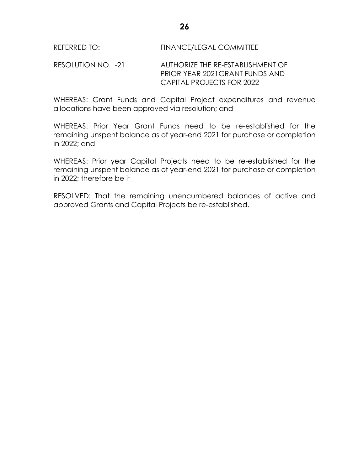RESOLUTION NO. -21 AUTHORIZE THE RE-ESTABLISHMENT OF PRIOR YEAR 2021GRANT FUNDS AND CAPITAL PROJECTS FOR 2022

WHEREAS: Grant Funds and Capital Project expenditures and revenue allocations have been approved via resolution; and

WHEREAS: Prior Year Grant Funds need to be re-established for the remaining unspent balance as of year-end 2021 for purchase or completion in 2022; and

WHEREAS: Prior year Capital Projects need to be re-established for the remaining unspent balance as of year-end 2021 for purchase or completion in 2022; therefore be it

RESOLVED: That the remaining unencumbered balances of active and approved Grants and Capital Projects be re-established.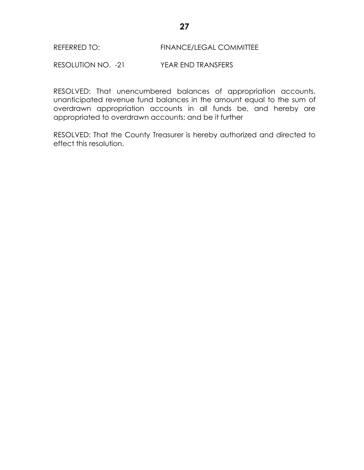#### REFERRED TO: FINANCE/LEGAL COMMITTEE

RESOLUTION NO. -21 YEAR END TRANSFERS

RESOLVED: That unencumbered balances of appropriation accounts, unanticipated revenue fund balances in the amount equal to the sum of overdrawn appropriation accounts in all funds be, and hereby are appropriated to overdrawn accounts; and be it further

RESOLVED: That the County Treasurer is hereby authorized and directed to effect this resolution.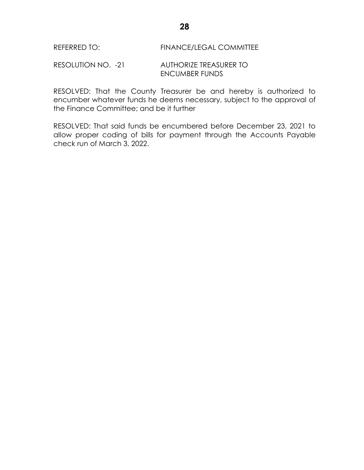#### REFERRED TO: FINANCE/LEGAL COMMITTEE

#### RESOLUTION NO. -21 AUTHORIZE TREASURER TO ENCUMBER FUNDS

RESOLVED: That the County Treasurer be and hereby is authorized to encumber whatever funds he deems necessary, subject to the approval of the Finance Committee; and be it further

RESOLVED: That said funds be encumbered before December 23, 2021 to allow proper coding of bills for payment through the Accounts Payable check run of March 3, 2022.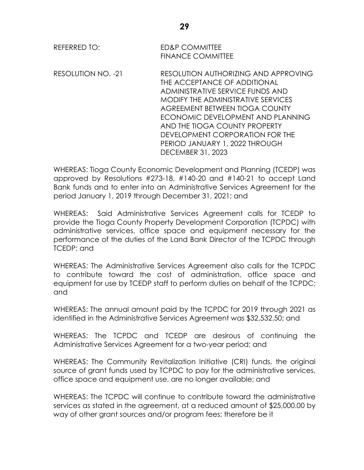| <b>REFERRED TO:</b> | <b>ED&amp;P COMMITTEE</b><br><b>FINANCE COMMITTEE</b>                                                                                                                                                                                                                                                                                                   |
|---------------------|---------------------------------------------------------------------------------------------------------------------------------------------------------------------------------------------------------------------------------------------------------------------------------------------------------------------------------------------------------|
| RESOLUTION NO. -21  | RESOLUTION AUTHORIZING AND APPROVING<br>THE ACCEPTANCE OF ADDITIONAL<br>ADMINISTRATIVE SERVICE FUNDS AND<br>MODIFY THE ADMINISTRATIVE SERVICES<br>AGREEMENT BETWEEN TIOGA COUNTY<br>ECONOMIC DEVELOPMENT AND PLANNING<br>AND THE TIOGA COUNTY PROPERTY<br>DEVELOPMENT CORPORATION FOR THE<br>PERIOD JANUARY 1, 2022 THROUGH<br><b>DECEMBER 31, 2023</b> |

WHEREAS: Tioga County Economic Development and Planning (TCEDP) was approved by Resolutions #273-18, #140-20 and #140-21 to accept Land Bank funds and to enter into an Administrative Services Agreement for the period January 1, 2019 through December 31, 2021; and

WHEREAS: Said Administrative Services Agreement calls for TCEDP to provide the Tioga County Property Development Corporation (TCPDC) with administrative services, office space and equipment necessary for the performance of the duties of the Land Bank Director of the TCPDC through TCEDP; and

WHEREAS: The Administrative Services Agreement also calls for the TCPDC to contribute toward the cost of administration, office space and equipment for use by TCEDP staff to perform duties on behalf of the TCPDC; and

WHEREAS: The annual amount paid by the TCPDC for 2019 through 2021 as identified in the Administrative Services Agreement was \$32,532.50; and

WHEREAS: The TCPDC and TCEDP are desirous of continuing the Administrative Services Agreement for a two-year period; and

WHEREAS: The Community Revitalization Initiative (CRI) funds, the original source of grant funds used by TCPDC to pay for the administrative services, office space and equipment use, are no longer available; and

WHEREAS: The TCPDC will continue to contribute toward the administrative services as stated in the agreement, at a reduced amount of \$25,000.00 by way of other grant sources and/or program fees; therefore be it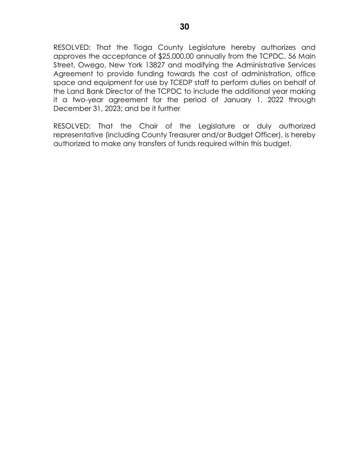RESOLVED: That the Tioga County Legislature hereby authorizes and approves the acceptance of \$25,000.00 annually from the TCPDC, 56 Main Street, Owego, New York 13827 and modifying the Administrative Services Agreement to provide funding towards the cost of administration, office space and equipment for use by TCEDP staff to perform duties on behalf of the Land Bank Director of the TCPDC to include the additional year making it a two-year agreement for the period of January 1, 2022 through December 31, 2023; and be it further

RESOLVED: That the Chair of the Legislature or duly authorized representative (including County Treasurer and/or Budget Officer), is hereby authorized to make any transfers of funds required within this budget.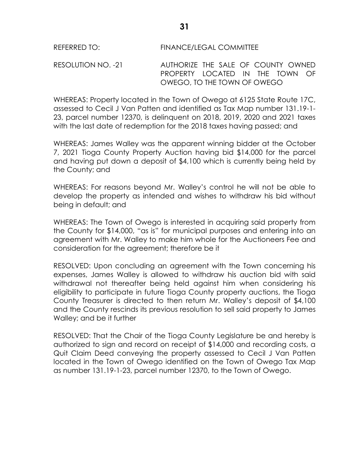## REFERRED TO: FINANCE/LEGAL COMMITTEE

RESOLUTION NO. -21 AUTHORIZE THE SALE OF COUNTY OWNED PROPERTY LOCATED IN THE TOWN OF OWEGO, TO THE TOWN OF OWEGO

WHEREAS: Property located in the Town of Owego at 6125 State Route 17C, assessed to Cecil J Van Patten and identified as Tax Map number 131.19-1- 23, parcel number 12370, is delinquent on 2018, 2019, 2020 and 2021 taxes with the last date of redemption for the 2018 taxes having passed; and

WHEREAS: James Walley was the apparent winning bidder at the October 7, 2021 Tioga County Property Auction having bid \$14,000 for the parcel and having put down a deposit of \$4,100 which is currently being held by the County; and

WHEREAS: For reasons beyond Mr. Walley's control he will not be able to develop the property as intended and wishes to withdraw his bid without being in default; and

WHEREAS: The Town of Owego is interested in acquiring said property from the County for \$14,000, "as is" for municipal purposes and entering into an agreement with Mr. Walley to make him whole for the Auctioneers Fee and consideration for the agreement; therefore be it

RESOLVED: Upon concluding an agreement with the Town concerning his expenses, James Walley is allowed to withdraw his auction bid with said withdrawal not thereafter being held against him when considering his eligibility to participate in future Tioga County property auctions, the Tioga County Treasurer is directed to then return Mr. Walley's deposit of \$4,100 and the County rescinds its previous resolution to sell said property to James Walley; and be it further

RESOLVED: That the Chair of the Tioga County Legislature be and hereby is authorized to sign and record on receipt of \$14,000 and recording costs, a Quit Claim Deed conveying the property assessed to Cecil J Van Patten located in the Town of Owego identified on the Town of Owego Tax Map as number 131.19-1-23, parcel number 12370, to the Town of Owego.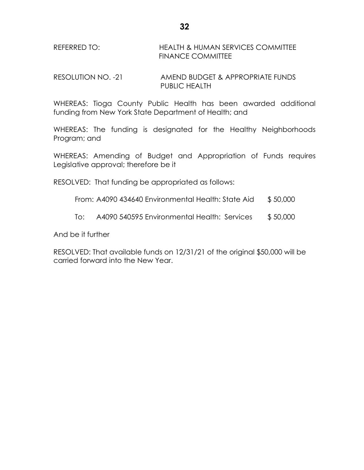RESOLUTION NO. -21 AMEND BUDGET & APPROPRIATE FUNDS PUBLIC HEALTH

WHEREAS: Tioga County Public Health has been awarded additional funding from New York State Department of Health; and

WHEREAS: The funding is designated for the Healthy Neighborhoods Program; and

WHEREAS: Amending of Budget and Appropriation of Funds requires Legislative approval; therefore be it

RESOLVED: That funding be appropriated as follows:

- From: A4090 434640 Environmental Health: State Aid \$ 50,000
- To: A4090 540595 Environmental Health: Services \$ 50,000

And be it further

RESOLVED: That available funds on 12/31/21 of the original \$50,000 will be carried forward into the New Year.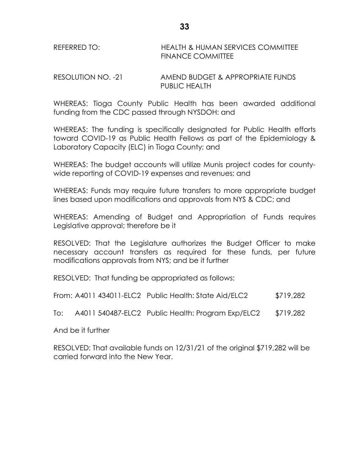| REFERRED TO: | <b>HEALTH &amp; HUMAN SERVICES COMMITTEE</b> |
|--------------|----------------------------------------------|
|              | <b>FINANCE COMMITTEE</b>                     |

RESOLUTION NO. -21 AMEND BUDGET & APPROPRIATE FUNDS PUBLIC HEALTH

WHEREAS: Tioga County Public Health has been awarded additional funding from the CDC passed through NYSDOH: and

WHEREAS: The funding is specifically designated for Public Health efforts toward COVID-19 as Public Health Fellows as part of the Epidemiology & Laboratory Capacity (ELC) in Tioga County; and

WHEREAS: The budget accounts will utilize Munis project codes for countywide reporting of COVID-19 expenses and revenues; and

WHEREAS: Funds may require future transfers to more appropriate budget lines based upon modifications and approvals from NYS & CDC; and

WHEREAS: Amending of Budget and Appropriation of Funds requires Legislative approval; therefore be it

RESOLVED: That the Legislature authorizes the Budget Officer to make necessary account transfers as required for these funds, per future modifications approvals from NYS; and be it further

RESOLVED: That funding be appropriated as follows:

From: A4011 434011-ELC2 Public Health: State Aid/ELC2 \$719,282

To: A4011 540487-ELC2 Public Health: Program Exp/ELC2 \$719,282

And be it further

RESOLVED: That available funds on 12/31/21 of the original \$719,282 will be carried forward into the New Year.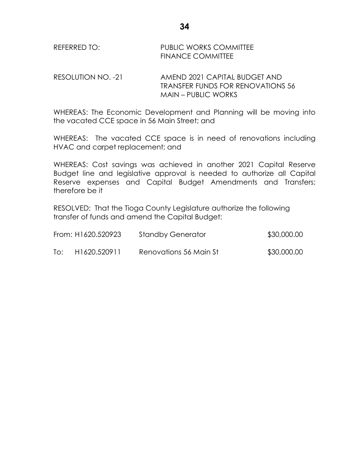RESOLUTION NO. -21 AMEND 2021 CAPITAL BUDGET AND TRANSFER FUNDS FOR RENOVATIONS 56 MAIN – PUBLIC WORKS

WHEREAS: The Economic Development and Planning will be moving into the vacated CCE space in 56 Main Street; and

WHEREAS: The vacated CCE space is in need of renovations including HVAC and carpet replacement; and

WHEREAS: Cost savings was achieved in another 2021 Capital Reserve Budget line and legislative approval is needed to authorize all Capital Reserve expenses and Capital Budget Amendments and Transfers; therefore be it

RESOLVED: That the Tioga County Legislature authorize the following transfer of funds and amend the Capital Budget:

|     | From: H1620.520923 | <b>Standby Generator</b> | \$30,000.00 |
|-----|--------------------|--------------------------|-------------|
| To: | H1620.520911       | Renovations 56 Main St   | \$30,000.00 |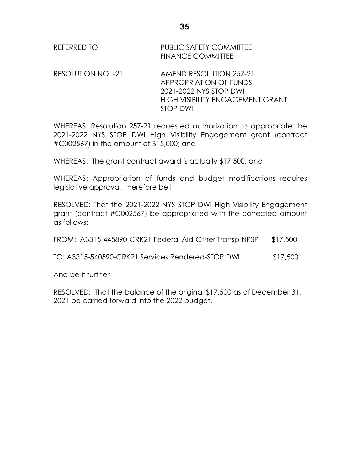RESOLUTION NO. -21 AMEND RESOLUTION 257-21 APPROPRIATION OF FUNDS 2021-2022 NYS STOP DWI HIGH VISIBILITY ENGAGEMENT GRANT STOP DWI

WHEREAS: Resolution 257-21 requested authorization to appropriate the 2021-2022 NYS STOP DWI High Visibility Engagement grant (contract #C002567) in the amount of \$15,000; and

WHEREAS: The grant contract award is actually \$17,500; and

WHEREAS: Appropriation of funds and budget modifications requires legislative approval; therefore be it

RESOLVED: That the 2021-2022 NYS STOP DWI High Visibility Engagement grant (contract #C002567) be appropriated with the corrected amount as follows:

| FROM: A3315-445890-CRK21 Federal Aid-Other Transp NPSP | \$17,500 |
|--------------------------------------------------------|----------|
|--------------------------------------------------------|----------|

TO: A3315-540590-CRK21 Services Rendered-STOP DWI \$17,500

And be it further

RESOLVED: That the balance of the original \$17,500 as of December 31, 2021 be carried forward into the 2022 budget.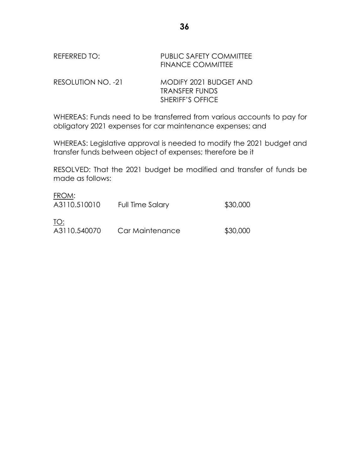| REFERRED TO: | <b>PUBLIC SAFETY COMMITTEE</b> |
|--------------|--------------------------------|
|              | <b>FINANCE COMMITTEE</b>       |
|              |                                |

RESOLUTION NO. -21 MODIFY 2021 BUDGET AND TRANSFER FUNDS SHERIFF'S OFFICE

WHEREAS: Funds need to be transferred from various accounts to pay for obligatory 2021 expenses for car maintenance expenses; and

WHEREAS: Legislative approval is needed to modify the 2021 budget and transfer funds between object of expenses; therefore be it

RESOLVED: That the 2021 budget be modified and transfer of funds be made as follows:

| FROM:<br>A3110.510010 | Full Time Salary | \$30,000 |
|-----------------------|------------------|----------|
| TO:<br>A3110.540070   | Car Maintenance  | \$30,000 |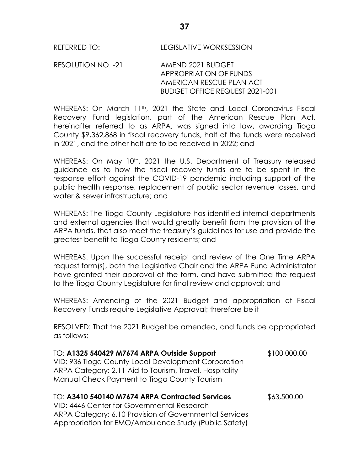RESOLUTION NO. -21 AMEND 2021 BUDGET APPROPRIATION OF FUNDS AMERICAN RESCUE PLAN ACT BUDGET OFFICE REQUEST 2021-001

WHEREAS: On March  $11<sup>th</sup>$ , 2021 the State and Local Coronavirus Fiscal Recovery Fund legislation, part of the American Rescue Plan Act, hereinafter referred to as ARPA, was signed into law, awarding Tioga County \$9,362,868 in fiscal recovery funds, half of the funds were received in 2021, and the other half are to be received in 2022; and

WHEREAS: On May 10<sup>th</sup>, 2021 the U.S. Department of Treasury released guidance as to how the fiscal recovery funds are to be spent in the response effort against the COVID-19 pandemic including support of the public health response, replacement of public sector revenue losses, and water & sewer infrastructure; and

WHEREAS: The Tioga County Legislature has identified internal departments and external agencies that would greatly benefit from the provision of the ARPA funds, that also meet the treasury's guidelines for use and provide the greatest benefit to Tioga County residents; and

WHEREAS: Upon the successful receipt and review of the One Time ARPA request form(s), both the Legislative Chair and the ARPA Fund Administrator have granted their approval of the form, and have submitted the request to the Tioga County Legislature for final review and approval; and

WHEREAS: Amending of the 2021 Budget and appropriation of Fiscal Recovery Funds require Legislative Approval; therefore be it

RESOLVED: That the 2021 Budget be amended, and funds be appropriated as follows:

| TO: A1325 540429 M7674 ARPA Outside Support             | \$100,000.00 |
|---------------------------------------------------------|--------------|
| VID: 936 Tioga County Local Development Corporation     |              |
| ARPA Category: 2.11 Aid to Tourism, Travel, Hospitality |              |
| Manual Check Payment to Tioga County Tourism            |              |
| TO: A3410 540140 M7674 ARPA Contracted Services         | \$63,500.00  |
| VID: 4446 Center for Governmental Research              |              |
| ARPA Category: 6.10 Provision of Governmental Services  |              |
| Appropriation for EMO/Ambulance Study (Public Safety)   |              |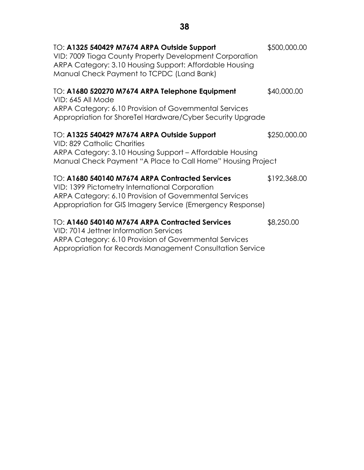| TO: A1325 540429 M7674 ARPA Outside Support<br>VID: 7009 Tioga County Property Development Corporation<br>ARPA Category: 3.10 Housing Support: Affordable Housing<br>Manual Check Payment to TCPDC (Land Bank)            | \$500,000.00 |
|---------------------------------------------------------------------------------------------------------------------------------------------------------------------------------------------------------------------------|--------------|
| TO: A1680 520270 M7674 ARPA Telephone Equipment<br>VID: 645 All Mode<br>ARPA Category: 6.10 Provision of Governmental Services<br>Appropriation for ShoreTel Hardware/Cyber Security Upgrade                              | \$40,000.00  |
| TO: A1325 540429 M7674 ARPA Outside Support<br>VID: 829 Catholic Charities<br>ARPA Category: 3.10 Housing Support - Affordable Housing<br>Manual Check Payment "A Place to Call Home" Housing Project                     | \$250,000.00 |
| TO: A1680 540140 M7674 ARPA Contracted Services<br>VID: 1399 Pictometry International Corporation<br>ARPA Category: 6.10 Provision of Governmental Services<br>Appropriation for GIS Imagery Service (Emergency Response) | \$192,368.00 |
| TO: A1460 540140 M7674 ARPA Contracted Services<br>VID: 7014 Jettner Information Services<br>ARPA Category: 6.10 Provision of Governmental Services<br>Appropriation for Records Management Consultation Service          | \$8,250.00   |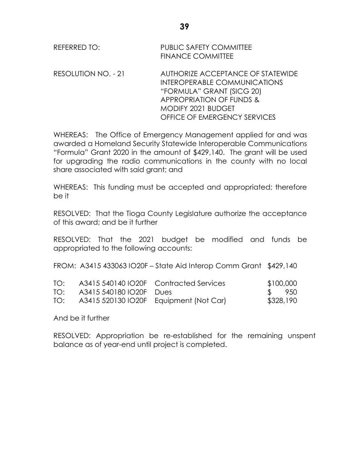| REFERRED TO: | PUBLIC SAFETY COMMITTEE  |
|--------------|--------------------------|
|              | <b>FINANCE COMMITTEE</b> |

RESOLUTION NO. - 21 AUTHORIZE ACCEPTANCE OF STATEWIDE INTEROPERABLE COMMUNICATIONS "FORMULA" GRANT (SICG 20) APPROPRIATION OF FUNDS & MODIFY 2021 BUDGET OFFICE OF EMERGENCY SERVICES

WHEREAS: The Office of Emergency Management applied for and was awarded a Homeland Security Statewide Interoperable Communications "Formula" Grant 2020 in the amount of \$429,140. The grant will be used for upgrading the radio communications in the county with no local share associated with said grant; and

WHEREAS: This funding must be accepted and appropriated; therefore be it

RESOLVED: That the Tioga County Legislature authorize the acceptance of this award; and be it further

RESOLVED: That the 2021 budget be modified and funds be appropriated to the following accounts:

FROM: A3415 433063 IO20F – State Aid Interop Comm Grant \$429,140

| TO: |                             | A3415 540140 IO20F Contracted Services     | \$100,000 |
|-----|-----------------------------|--------------------------------------------|-----------|
|     | TO: A3415 540180 IO20F Dues |                                            | \$ 950    |
|     |                             | TO: A3415 520130 IO20F Equipment (Not Car) | \$328,190 |

And be it further

RESOLVED: Appropriation be re-established for the remaining unspent balance as of year-end until project is completed.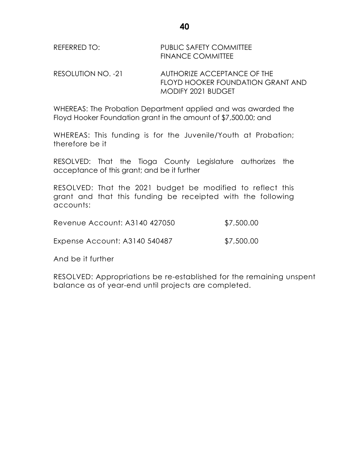| REFERRED TO: | <b>PUBLIC SAFETY COMMITTEE</b> |
|--------------|--------------------------------|
|              | <b>FINANCE COMMITTEE</b>       |

RESOLUTION NO. -21 AUTHORIZE ACCEPTANCE OF THE FLOYD HOOKER FOUNDATION GRANT AND MODIFY 2021 BUDGET

WHEREAS: The Probation Department applied and was awarded the Floyd Hooker Foundation grant in the amount of \$7,500.00; and

WHEREAS: This funding is for the Juvenile/Youth at Probation; therefore be it

RESOLVED: That the Tioga County Legislature authorizes the acceptance of this grant; and be it further

RESOLVED: That the 2021 budget be modified to reflect this grant and that this funding be receipted with the following accounts:

| Revenue Account: A3140 427050 | \$7,500.00 |
|-------------------------------|------------|
|                               |            |

Expense Account: A3140 540487 \$7,500.00

And be it further

RESOLVED: Appropriations be re-established for the remaining unspent balance as of year-end until projects are completed.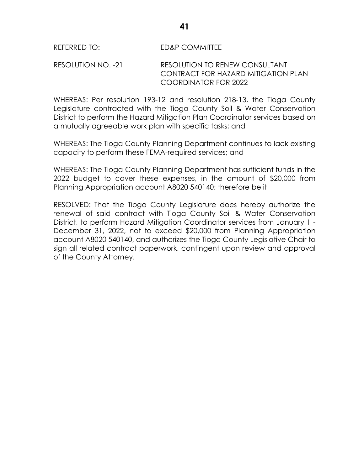RESOLUTION NO. -21 RESOLUTION TO RENEW CONSULTANT CONTRACT FOR HAZARD MITIGATION PLAN COORDINATOR FOR 2022

WHEREAS: Per resolution 193-12 and resolution 218-13, the Tioga County Legislature contracted with the Tioga County Soil & Water Conservation District to perform the Hazard Mitigation Plan Coordinator services based on a mutually agreeable work plan with specific tasks; and

WHEREAS: The Tioga County Planning Department continues to lack existing capacity to perform these FEMA-required services; and

WHEREAS: The Tioga County Planning Department has sufficient funds in the 2022 budget to cover these expenses, in the amount of \$20,000 from Planning Appropriation account A8020 540140; therefore be it

RESOLVED: That the Tioga County Legislature does hereby authorize the renewal of said contract with Tioga County Soil & Water Conservation District, to perform Hazard Mitigation Coordinator services from January 1 - December 31, 2022, not to exceed \$20,000 from Planning Appropriation account A8020 540140, and authorizes the Tioga County Legislative Chair to sign all related contract paperwork, contingent upon review and approval of the County Attorney.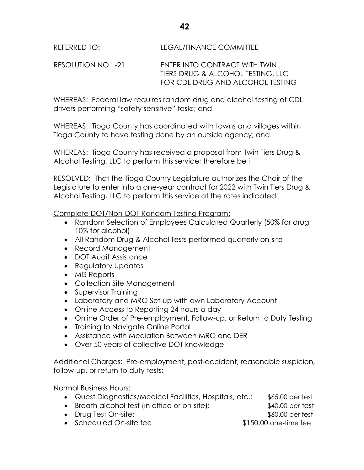RESOLUTION NO. -21 ENTER INTO CONTRACT WITH TWIN TIERS DRUG & ALCOHOL TESTING, LLC FOR CDL DRUG AND ALCOHOL TESTING

**42**

WHEREAS: Federal law requires random drug and alcohol testing of CDL drivers performing "safety sensitive" tasks; and

WHEREAS: Tioga County has coordinated with towns and villages within Tioga County to have testing done by an outside agency; and

WHEREAS: Tioga County has received a proposal from Twin Tiers Drug & Alcohol Testing, LLC to perform this service; therefore be it

RESOLVED: That the Tioga County Legislature authorizes the Chair of the Legislature to enter into a one-year contract for 2022 with Twin Tiers Drug & Alcohol Testing, LLC to perform this service at the rates indicated:

Complete DOT/Non-DOT Random Testing Program:

- Random Selection of Employees Calculated Quarterly (50% for drug, 10% for alcohol)
- All Random Drug & Alcohol Tests performed quarterly on-site
- Record Management
- DOT Audit Assistance
- Regulatory Updates
- MIS Reports
- Collection Site Management
- Supervisor Training
- Laboratory and MRO Set-up with own Laboratory Account
- Online Access to Reporting 24 hours a day
- Online Order of Pre-employment, Follow-up, or Return to Duty Testing
- Training to Navigate Online Portal
- Assistance with Mediation Between MRO and DER
- Over 50 years of collective DOT knowledge

Additional Charges: Pre-employment, post-accident, reasonable suspicion, follow-up, or return to duty tests:

Normal Business Hours:

- Quest Diagnostics/Medical Facilities, Hospitals, etc.: \$65.00 per test Breath alcohol test (in office or on-site): \$40.00 per test
- Drug Test On-site:  $$60.00 \text{ per test}$

• Scheduled On-site fee  $$150.00$  one-time fee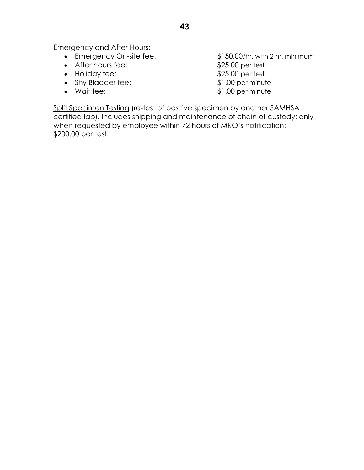Emergency and After Hours:

- 
- After hours fee:  $$25.00$  per test
- Holiday fee: \$25.00 per test
- Shy Bladder fee:  $$1.00$  per minute
- 

 Emergency On-site fee: \$150.00/hr. with 2 hr. minimum • Wait fee: \$1.00 per minute

Split Specimen Testing (re-test of positive specimen by another SAMHSA certified lab). Includes shipping and maintenance of chain of custody; only when requested by employee within 72 hours of MRO's notification: \$200.00 per test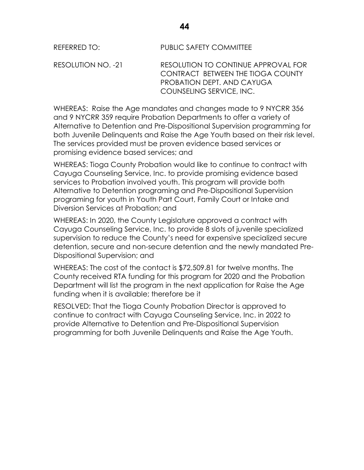REFERRED TO: PUBLIC SAFETY COMMITTEE

RESOLUTION NO. -21 RESOLUTION TO CONTINUE APPROVAL FOR CONTRACT BETWEEN THE TIOGA COUNTY PROBATION DEPT. AND CAYUGA COUNSELING SERVICE, INC.

WHEREAS: Raise the Age mandates and changes made to 9 NYCRR 356 and 9 NYCRR 359 require Probation Departments to offer a variety of Alternative to Detention and Pre-Dispositional Supervision programming for both Juvenile Delinquents and Raise the Age Youth based on their risk level. The services provided must be proven evidence based services or promising evidence based services; and

WHEREAS: Tioga County Probation would like to continue to contract with Cayuga Counseling Service, Inc. to provide promising evidence based services to Probation involved youth. This program will provide both Alternative to Detention programing and Pre-Dispositional Supervision programing for youth in Youth Part Court, Family Court or Intake and Diversion Services at Probation; and

WHEREAS: In 2020, the County Legislature approved a contract with Cayuga Counseling Service, Inc. to provide 8 slots of juvenile specialized supervision to reduce the County's need for expensive specialized secure detention, secure and non-secure detention and the newly mandated Pre-Dispositional Supervision; and

WHEREAS: The cost of the contact is \$72,509.81 for twelve months. The County received RTA funding for this program for 2020 and the Probation Department will list the program in the next application for Raise the Age funding when it is available; therefore be it

RESOLVED: That the Tioga County Probation Director is approved to continue to contract with Cayuga Counseling Service, Inc. in 2022 to provide Alternative to Detention and Pre-Dispositional Supervision programming for both Juvenile Delinquents and Raise the Age Youth.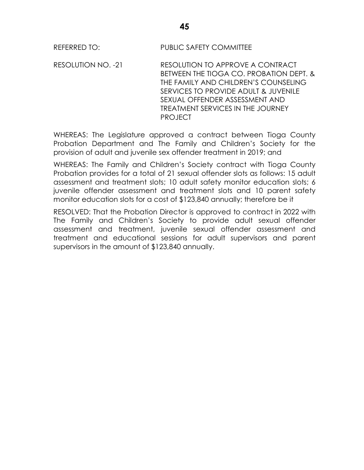REFERRED TO: PUBLIC SAFETY COMMITTEE

RESOLUTION NO. -21 RESOLUTION TO APPROVE A CONTRACT BETWEEN THE TIOGA CO. PROBATION DEPT. & THE FAMILY AND CHILDREN'S COUNSELING SERVICES TO PROVIDE ADULT & JUVENILE SEXUAL OFFENDER ASSESSMENT AND TREATMENT SERVICES IN THE JOURNEY PROJECT

WHEREAS: The Legislature approved a contract between Tioga County Probation Department and The Family and Children's Society for the provision of adult and juvenile sex offender treatment in 2019; and

WHEREAS: The Family and Children's Society contract with Tioga County Probation provides for a total of 21 sexual offender slots as follows: 15 adult assessment and treatment slots; 10 adult safety monitor education slots; 6 juvenile offender assessment and treatment slots and 10 parent safety monitor education slots for a cost of \$123,840 annually; therefore be it

RESOLVED: That the Probation Director is approved to contract in 2022 with The Family and Children's Society to provide adult sexual offender assessment and treatment, juvenile sexual offender assessment and treatment and educational sessions for adult supervisors and parent supervisors in the amount of \$123,840 annually.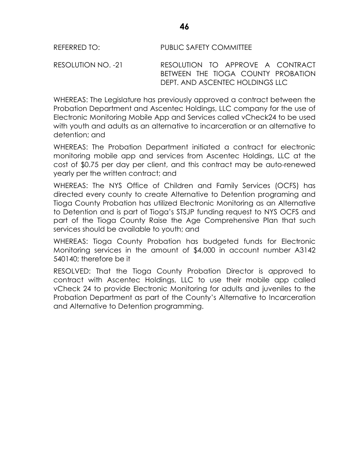RESOLUTION NO. -21 RESOLUTION TO APPROVE A CONTRACT BETWEEN THE TIOGA COUNTY PROBATION DEPT. AND ASCENTEC HOLDINGS LLC

WHEREAS: The Legislature has previously approved a contract between the Probation Department and Ascentec Holdings, LLC company for the use of Electronic Monitoring Mobile App and Services called vCheck24 to be used with youth and adults as an alternative to incarceration or an alternative to detention; and

WHEREAS: The Probation Department initiated a contract for electronic monitoring mobile app and services from Ascentec Holdings, LLC at the cost of \$0.75 per day per client, and this contract may be auto-renewed yearly per the written contract; and

WHEREAS: The NYS Office of Children and Family Services (OCFS) has directed every county to create Alternative to Detention programing and Tioga County Probation has utilized Electronic Monitoring as an Alternative to Detention and is part of Tioga's STSJP funding request to NYS OCFS and part of the Tioga County Raise the Age Comprehensive Plan that such services should be available to youth; and

WHEREAS: Tioga County Probation has budgeted funds for Electronic Monitoring services in the amount of \$4,000 in account number A3142 540140; therefore be it

RESOLVED: That the Tioga County Probation Director is approved to contract with Ascentec Holdings, LLC to use their mobile app called vCheck 24 to provide Electronic Monitoring for adults and juveniles to the Probation Department as part of the County's Alternative to Incarceration and Alternative to Detention programming.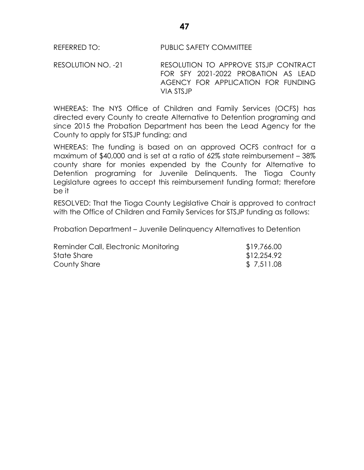RESOLUTION NO. -21 RESOLUTION TO APPROVE STSJP CONTRACT FOR SFY 2021-2022 PROBATION AS LEAD AGENCY FOR APPLICATION FOR FUNDING VIA STSJP

WHEREAS: The NYS Office of Children and Family Services (OCFS) has directed every County to create Alternative to Detention programing and since 2015 the Probation Department has been the Lead Agency for the County to apply for STSJP funding; and

WHEREAS: The funding is based on an approved OCFS contract for a maximum of \$40,000 and is set at a ratio of 62% state reimbursement – 38% county share for monies expended by the County for Alternative to Detention programing for Juvenile Delinquents. The Tioga County Legislature agrees to accept this reimbursement funding format; therefore be it

RESOLVED: That the Tioga County Legislative Chair is approved to contract with the Office of Children and Family Services for STSJP funding as follows:

Probation Department – Juvenile Delinquency Alternatives to Detention

| Reminder Call, Electronic Monitoring | \$19,766.00 |  |
|--------------------------------------|-------------|--|
| State Share                          | \$12,254.92 |  |
| County Share                         | \$7,511.08  |  |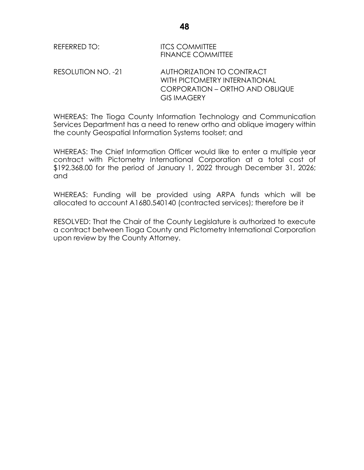| REFERRED TO:       | <b>ITCS COMMITTEE</b><br><b>FINANCE COMMITTEE</b>                                                                          |
|--------------------|----------------------------------------------------------------------------------------------------------------------------|
| RESOLUTION NO. -21 | AUTHORIZATION TO CONTRACT<br>WITH PICTOMETRY INTERNATIONAL<br><b>CORPORATION - ORTHO AND OBLIQUE</b><br><b>GIS IMAGERY</b> |

WHEREAS: The Tioga County Information Technology and Communication Services Department has a need to renew ortho and oblique imagery within the county Geospatial Information Systems toolset; and

WHEREAS: The Chief Information Officer would like to enter a multiple year contract with Pictometry International Corporation at a total cost of \$192,368.00 for the period of January 1, 2022 through December 31, 2026; and

WHEREAS: Funding will be provided using ARPA funds which will be allocated to account A1680.540140 (contracted services); therefore be it

RESOLVED: That the Chair of the County Legislature is authorized to execute a contract between Tioga County and Pictometry International Corporation upon review by the County Attorney.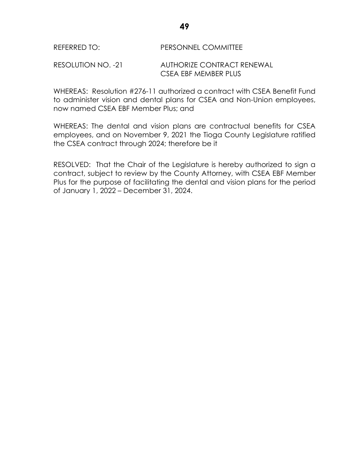#### REFERRED TO: PERSONNEL COMMITTEE

#### RESOLUTION NO. -21 AUTHORIZE CONTRACT RENEWAL CSEA EBE MEMBER PLUS

WHEREAS: Resolution #276-11 authorized a contract with CSEA Benefit Fund to administer vision and dental plans for CSEA and Non-Union employees, now named CSEA EBF Member Plus; and

WHEREAS: The dental and vision plans are contractual benefits for CSEA employees, and on November 9, 2021 the Tioga County Legislature ratified the CSEA contract through 2024; therefore be it

RESOLVED: That the Chair of the Legislature is hereby authorized to sign a contract, subject to review by the County Attorney, with CSEA EBF Member Plus for the purpose of facilitating the dental and vision plans for the period of January 1, 2022 – December 31, 2024.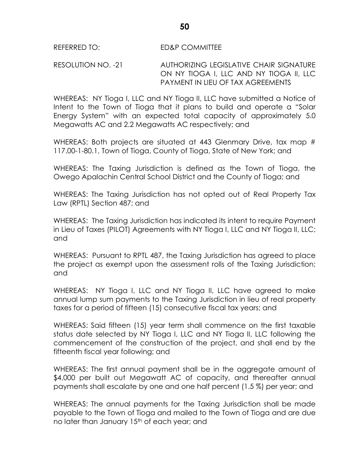RESOLUTION NO. -21 AUTHORIZING LEGISLATIVE CHAIR SIGNATURE ON NY TIOGA I, LLC AND NY TIOGA II, LLC PAYMENT IN LIEU OF TAX AGREEMENTS

WHEREAS: NY Tioga I, LLC and NY Tioga II, LLC have submitted a Notice of Intent to the Town of Tioga that it plans to build and operate a "Solar Energy System" with an expected total capacity of approximately 5.0 Megawatts AC and 2.2 Megawatts AC respectively; and

WHEREAS: Both projects are situated at 443 Glenmary Drive, tax map # 117.00-1-80.1, Town of Tioga, County of Tioga, State of New York; and

WHEREAS: The Taxing Jurisdiction is defined as the Town of Tioga, the Owego Apalachin Central School District and the County of Tioga; and

WHEREAS: The Taxing Jurisdiction has not opted out of Real Property Tax Law (RPTL) Section 487; and

WHEREAS: The Taxing Jurisdiction has indicated its intent to require Payment in Lieu of Taxes (PILOT) Agreements with NY Tioga I, LLC and NY Tioga II, LLC; and

WHEREAS: Pursuant to RPTL 487, the Taxing Jurisdiction has agreed to place the project as exempt upon the assessment rolls of the Taxing Jurisdiction; and

WHEREAS: NY Tioga I, LLC and NY Tioga II, LLC have agreed to make annual lump sum payments to the Taxing Jurisdiction in lieu of real property taxes for a period of fifteen (15) consecutive fiscal tax years; and

WHEREAS: Said fifteen (15) year term shall commence on the first taxable status date selected by NY Tioga I, LLC and NY Tioga II, LLC following the commencement of the construction of the project, and shall end by the fifteenth fiscal year following; and

WHEREAS: The first annual payment shall be in the aggregate amount of \$4,000 per built out Megawatt AC of capacity, and thereafter annual payments shall escalate by one and one half percent (1.5 %) per year; and

WHEREAS: The annual payments for the Taxing Jurisdiction shall be made payable to the Town of Tioga and mailed to the Town of Tioga and are due no later than January 15<sup>th</sup> of each year; and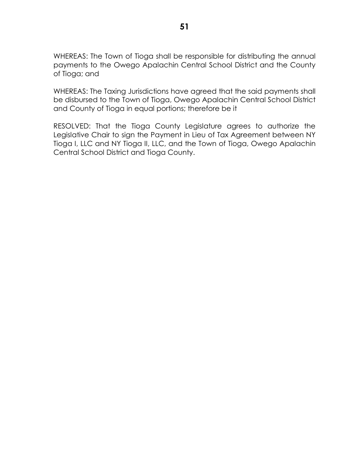WHEREAS: The Town of Tioga shall be responsible for distributing the annual payments to the Owego Apalachin Central School District and the County of Tioga; and

WHEREAS: The Taxing Jurisdictions have agreed that the said payments shall be disbursed to the Town of Tioga, Owego Apalachin Central School District and County of Tioga in equal portions; therefore be it

RESOLVED: That the Tioga County Legislature agrees to authorize the Legislative Chair to sign the Payment in Lieu of Tax Agreement between NY Tioga I, LLC and NY Tioga II, LLC, and the Town of Tioga, Owego Apalachin Central School District and Tioga County.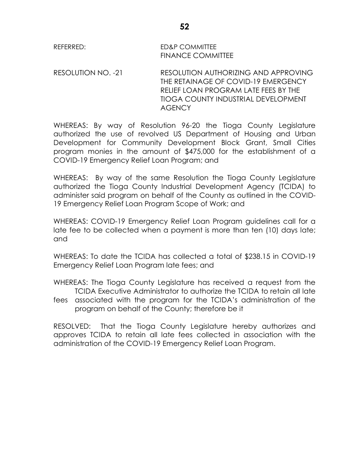# REFERRED: ED&P COMMITTEE FINANCE COMMITTEE

RESOLUTION NO. -21 RESOLUTION AUTHORIZING AND APPROVING THE RETAINAGE OF COVID-19 EMERGENCY RELIEF LOAN PROGRAM LATE FEES BY THE TIOGA COUNTY INDUSTRIAL DEVELOPMENT **AGENCY** 

WHEREAS: By way of Resolution 96-20 the Tioga County Legislature authorized the use of revolved US Department of Housing and Urban Development for Community Development Block Grant, Small Cities program monies in the amount of \$475,000 for the establishment of a COVID-19 Emergency Relief Loan Program; and

WHEREAS: By way of the same Resolution the Tioga County Legislature authorized the Tioga County Industrial Development Agency (TCIDA) to administer said program on behalf of the County as outlined in the COVID-19 Emergency Relief Loan Program Scope of Work; and

WHEREAS: COVID-19 Emergency Relief Loan Program guidelines call for a late fee to be collected when a payment is more than ten (10) days late; and

WHEREAS: To date the TCIDA has collected a total of \$238.15 in COVID-19 Emergency Relief Loan Program late fees; and

WHEREAS: The Tioga County Legislature has received a request from the TCIDA Executive Administrator to authorize the TCIDA to retain all late

fees associated with the program for the TCIDA's administration of the program on behalf of the County; therefore be it

RESOLVED: That the Tioga County Legislature hereby authorizes and approves TCIDA to retain all late fees collected in association with the administration of the COVID-19 Emergency Relief Loan Program.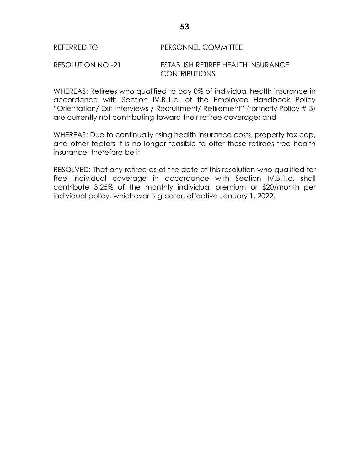# REFERRED TO: PERSONNEL COMMITTEE

## RESOLUTION NO -21 ESTABLISH RETIREE HEALTH INSURANCE CONTRIBUTIONS

WHEREAS: Retirees who qualified to pay 0% of individual health insurance in accordance with Section IV.B.1.c. of the Employee Handbook Policy "Orientation/ Exit Interviews / Recruitment/ Retirement" (formerly Policy # 3) are currently not contributing toward their retiree coverage; and

WHEREAS: Due to continually rising health insurance costs, property tax cap, and other factors it is no longer feasible to offer these retirees free health insurance; therefore be it

RESOLVED: That any retiree as of the date of this resolution who qualified for free individual coverage in accordance with Section IV.B.1.c. shall contribute 3.25% of the monthly individual premium or \$20/month per individual policy, whichever is greater, effective January 1, 2022.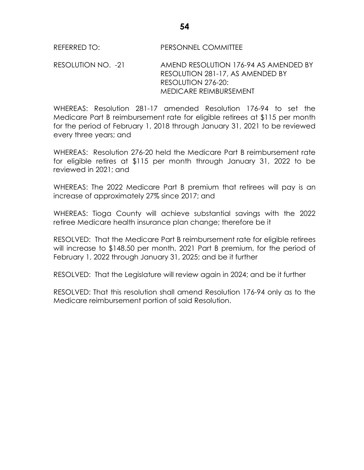REFERRED TO: PERSONNEL COMMITTEE

RESOLUTION NO. -21 AMEND RESOLUTION 176-94 AS AMENDED BY RESOLUTION 281-17, AS AMENDED BY RESOLUTION 276-20: MEDICARE REIMBURSEMENT

WHEREAS: Resolution 281-17 amended Resolution 176-94 to set the Medicare Part B reimbursement rate for eligible retirees at \$115 per month for the period of February 1, 2018 through January 31, 2021 to be reviewed every three years; and

WHEREAS: Resolution 276-20 held the Medicare Part B reimbursement rate for eligible retires at \$115 per month through January 31, 2022 to be reviewed in 2021; and

WHEREAS: The 2022 Medicare Part B premium that retirees will pay is an increase of approximately 27% since 2017; and

WHEREAS: Tioga County will achieve substantial savings with the 2022 retiree Medicare health insurance plan change; therefore be it

RESOLVED: That the Medicare Part B reimbursement rate for eligible retirees will increase to \$148.50 per month, 2021 Part B premium, for the period of February 1, 2022 through January 31, 2025; and be it further

RESOLVED: That the Legislature will review again in 2024; and be it further

RESOLVED: That this resolution shall amend Resolution 176-94 only as to the Medicare reimbursement portion of said Resolution.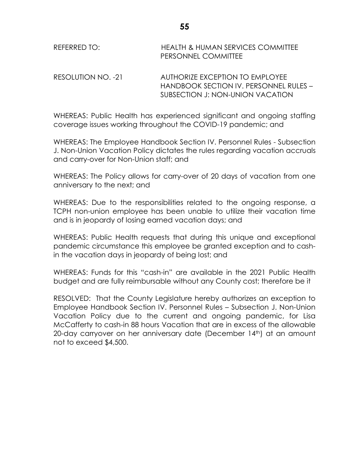| REFERRED TO: | <b>HEALTH &amp; HUMAN SERVICES COMMITTEE</b> |
|--------------|----------------------------------------------|
|              | <b>PERSONNEL COMMITTEE</b>                   |

RESOLUTION NO. -21 AUTHORIZE EXCEPTION TO EMPLOYEE HANDBOOK SECTION IV. PERSONNEL RULES – SUBSECTION J: NON-UNION VACATION

WHEREAS: Public Health has experienced significant and ongoing staffing coverage issues working throughout the COVID-19 pandemic; and

WHEREAS: The Employee Handbook Section IV. Personnel Rules - Subsection J. Non-Union Vacation Policy dictates the rules regarding vacation accruals and carry-over for Non-Union staff; and

WHEREAS: The Policy allows for carry-over of 20 days of vacation from one anniversary to the next; and

WHEREAS: Due to the responsibilities related to the ongoing response, a TCPH non-union employee has been unable to utilize their vacation time and is in jeopardy of losing earned vacation days; and

WHEREAS: Public Health requests that during this unique and exceptional pandemic circumstance this employee be granted exception and to cashin the vacation days in jeopardy of being lost; and

WHEREAS: Funds for this "cash-in" are available in the 2021 Public Health budget and are fully reimbursable without any County cost; therefore be it

RESOLVED: That the County Legislature hereby authorizes an exception to Employee Handbook Section IV. Personnel Rules – Subsection J. Non-Union Vacation Policy due to the current and ongoing pandemic, for Lisa McCafferty to cash-in 88 hours Vacation that are in excess of the allowable 20-day carryover on her anniversary date (December 14<sup>th</sup>) at an amount not to exceed \$4,500.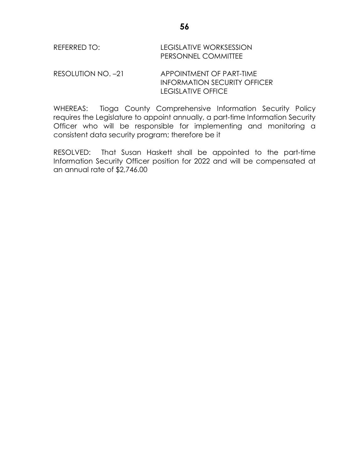| REFERRED TO: | LEGISLATIVE WORKSESSION    |  |
|--------------|----------------------------|--|
|              | <b>PERSONNEL COMMITTEE</b> |  |

RESOLUTION NO. -21 APPOINTMENT OF PART-TIME INFORMATION SECURITY OFFICER LEGISLATIVE OFFICE

WHEREAS: Tioga County Comprehensive Information Security Policy requires the Legislature to appoint annually, a part-time Information Security Officer who will be responsible for implementing and monitoring a consistent data security program; therefore be it

RESOLVED: That Susan Haskett shall be appointed to the part-time Information Security Officer position for 2022 and will be compensated at an annual rate of \$2,746.00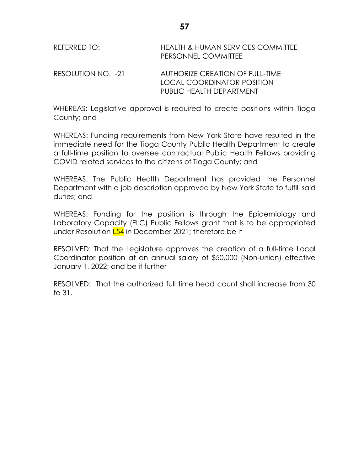| REFERRED TO:       | <b>HEALTH &amp; HUMAN SERVICES COMMITTEE</b><br>PERSONNEL COMMITTEE |
|--------------------|---------------------------------------------------------------------|
| RESOLUTION NO. -21 | AUTHORIZE CREATION OF FULL-TIME<br>LOCAL COORDINATOR POSITION       |
|                    | PUBLIC HEALTH DEPARTMENT                                            |

WHEREAS: Legislative approval is required to create positions within Tioga County; and

WHEREAS: Funding requirements from New York State have resulted in the immediate need for the Tioga County Public Health Department to create a full-time position to oversee contractual Public Health Fellows providing COVID related services to the citizens of Tioga County; and

WHEREAS: The Public Health Department has provided the Personnel Department with a job description approved by New York State to fulfill said duties; and

WHEREAS: Funding for the position is through the Epidemiology and Laboratory Capacity (ELC) Public Fellows grant that is to be appropriated under Resolution **L54** in December 2021; therefore be it

RESOLVED: That the Legislature approves the creation of a full-time Local Coordinator position at an annual salary of \$50,000 (Non-union) effective January 1, 2022; and be it further

RESOLVED: That the authorized full time head count shall increase from 30 to 31.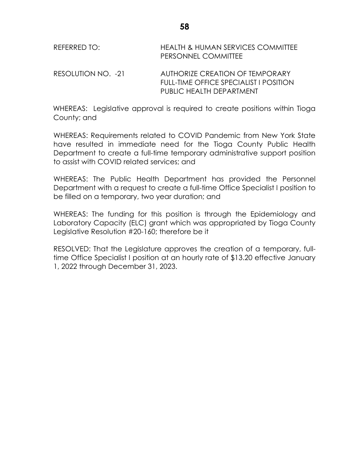| REFERRED TO:       | <b>HEALTH &amp; HUMAN SERVICES COMMITTEE</b><br>PERSONNEL COMMITTEE                                          |
|--------------------|--------------------------------------------------------------------------------------------------------------|
| RESOLUTION NO. -21 | AUTHORIZE CREATION OF TEMPORARY<br><b>FULL-TIME OFFICE SPECIALIST I POSITION</b><br>PUBLIC HEALTH DEPARTMENT |

WHEREAS: Legislative approval is required to create positions within Tioga County; and

WHEREAS: Requirements related to COVID Pandemic from New York State have resulted in immediate need for the Tioga County Public Health Department to create a full-time temporary administrative support position to assist with COVID related services; and

WHEREAS: The Public Health Department has provided the Personnel Department with a request to create a full-time Office Specialist I position to be filled on a temporary, two year duration; and

WHEREAS: The funding for this position is through the Epidemiology and Laboratory Capacity (ELC) grant which was appropriated by Tioga County Legislative Resolution #20-160; therefore be it

RESOLVED: That the Legislature approves the creation of a temporary, fulltime Office Specialist I position at an hourly rate of \$13.20 effective January 1, 2022 through December 31, 2023.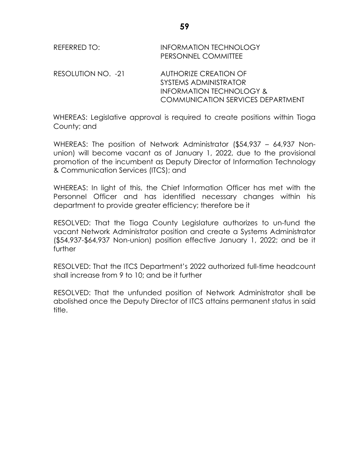| REFERRED TO:       | <b>INFORMATION TECHNOLOGY</b><br>PERSONNEL COMMITTEE                                                                                     |
|--------------------|------------------------------------------------------------------------------------------------------------------------------------------|
| RESOLUTION NO. -21 | <b>AUTHORIZE CREATION OF</b><br>SYSTEMS ADMINISTRATOR<br><b>INFORMATION TECHNOLOGY &amp;</b><br><b>COMMUNICATION SERVICES DEPARTMENT</b> |

WHEREAS: Legislative approval is required to create positions within Tioga County; and

WHEREAS: The position of Network Administrator (\$54,937 – 64,937 Nonunion) will become vacant as of January 1, 2022, due to the provisional promotion of the incumbent as Deputy Director of Information Technology & Communication Services (ITCS); and

WHEREAS: In light of this, the Chief Information Officer has met with the Personnel Officer and has identified necessary changes within his department to provide greater efficiency; therefore be it

RESOLVED: That the Tioga County Legislature authorizes to un-fund the vacant Network Administrator position and create a Systems Administrator (\$54,937-\$64,937 Non-union) position effective January 1, 2022; and be it further

RESOLVED: That the ITCS Department's 2022 authorized full-time headcount shall increase from 9 to 10; and be it further

RESOLVED: That the unfunded position of Network Administrator shall be abolished once the Deputy Director of ITCS attains permanent status in said title.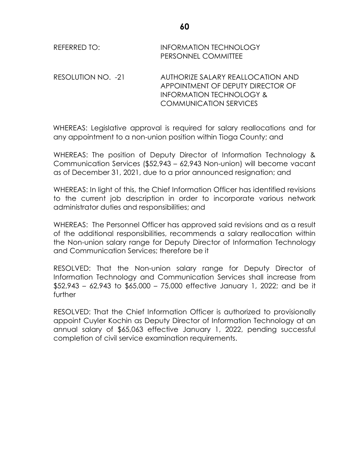| REFERRED TO: | <b>INFORMATION TECHNOLOGY</b> |
|--------------|-------------------------------|
|              | <b>PERSONNEL COMMITTEE</b>    |

RESOLUTION NO. -21 AUTHORIZE SALARY REALLOCATION AND APPOINTMENT OF DEPUTY DIRECTOR OF INFORMATION TECHNOLOGY & COMMUNICATION SERVICES

WHEREAS: Legislative approval is required for salary reallocations and for any appointment to a non-union position within Tioga County; and

WHEREAS: The position of Deputy Director of Information Technology & Communication Services (\$52,943 – 62,943 Non-union) will become vacant as of December 31, 2021, due to a prior announced resignation; and

WHEREAS: In light of this, the Chief Information Officer has identified revisions to the current job description in order to incorporate various network administrator duties and responsibilities; and

WHEREAS: The Personnel Officer has approved said revisions and as a result of the additional responsibilities, recommends a salary reallocation within the Non-union salary range for Deputy Director of Information Technology and Communication Services; therefore be it

RESOLVED: That the Non-union salary range for Deputy Director of Information Technology and Communication Services shall increase from \$52,943 – 62,943 to \$65,000 – 75,000 effective January 1, 2022; and be it further

RESOLVED: That the Chief Information Officer is authorized to provisionally appoint Cuyler Kochin as Deputy Director of Information Technology at an annual salary of \$65,063 effective January 1, 2022, pending successful completion of civil service examination requirements.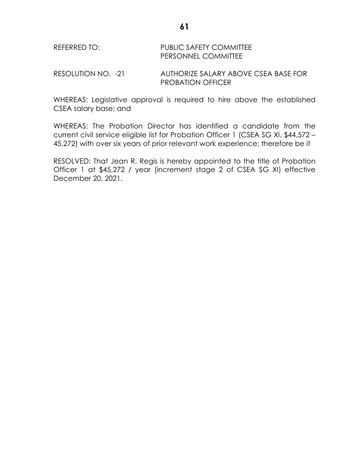| REFERRED TO: | PUBLIC SAFETY COMMITTEE    |
|--------------|----------------------------|
|              | <b>PERSONNEL COMMITTEE</b> |

RESOLUTION NO. -21 AUTHORIZE SALARY ABOVE CSEA BASE FOR PROBATION OFFICER

WHEREAS: Legislative approval is required to hire above the established CSEA salary base; and

WHEREAS: The Probation Director has identified a candidate from the current civil service eligible list for Probation Officer 1 (CSEA SG XI, \$44,572 – 45,272) with over six years of prior relevant work experience; therefore be it

RESOLVED: That Jean R. Regis is hereby appointed to the title of Probation Officer 1 at \$45,272 / year (increment stage 2 of CSEA SG XI) effective December 20, 2021.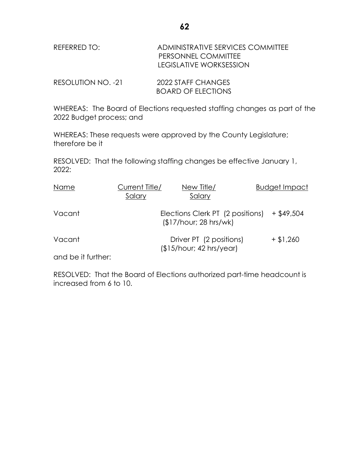| REFERRED TO:       | ADMINISTRATIVE SERVICES COMMITTEE<br>PERSONNEL COMMITTEE<br>LEGISLATIVE WORKSESSION |
|--------------------|-------------------------------------------------------------------------------------|
| RESOLUTION NO. -21 | 2022 STAFF CHANGES                                                                  |

WHEREAS: The Board of Elections requested staffing changes as part of the 2022 Budget process; and

BOARD OF ELECTIONS

WHEREAS: These requests were approved by the County Legislature; therefore be it

RESOLVED: That the following staffing changes be effective January 1, 2022:

| Name               | Current Title/<br>Salary | New Title/<br>Salary                                      | <b>Budget Impact</b> |
|--------------------|--------------------------|-----------------------------------------------------------|----------------------|
| Vacant             |                          | Elections Clerk PT (2 positions)<br>\$17/hour; 28 hrs/wk) | $+$ \$49,504         |
| Vacant             |                          | Driver PT (2 positions)<br>$$15/hour$ ; 42 hrs/year)      | $+$ \$1,260          |
| and be it further: |                          |                                                           |                      |

RESOLVED: That the Board of Elections authorized part-time headcount is increased from 6 to 10.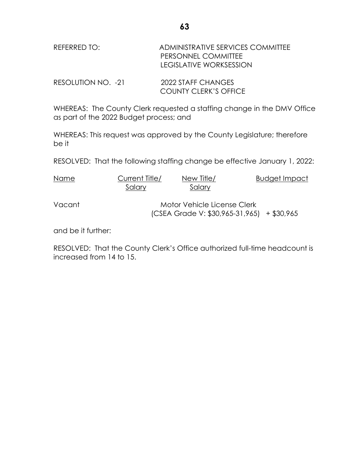| REFERRED TO:       | ADMINISTRATIVE SERVICES COMMITTEE<br>PERSONNEL COMMITTEE<br>LEGISLATIVE WORKSESSION |
|--------------------|-------------------------------------------------------------------------------------|
| RESOLUTION NO. -21 | 2022 STAFF CHANGES<br><b>COUNTY CLERK'S OFFICE</b>                                  |

WHEREAS: The County Clerk requested a staffing change in the DMV Office as part of the 2022 Budget process; and

WHEREAS: This request was approved by the County Legislature; therefore be it

RESOLVED: That the following staffing change be effective January 1, 2022:

| Name   | Current Title/<br>Salary | New Title/<br>Salary                                                      | Budget Impact |
|--------|--------------------------|---------------------------------------------------------------------------|---------------|
| Vacant |                          | Motor Vehicle License Clerk<br>(CSEA Grade V: \$30,965-31,965) + \$30,965 |               |

and be it further:

RESOLVED: That the County Clerk's Office authorized full-time headcount is increased from 14 to 15.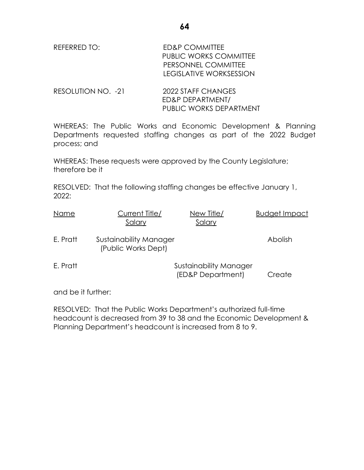REFERRED TO: ED&P COMMITTEE PUBLIC WORKS COMMITTEE PERSONNEL COMMITTEE

RESOLUTION NO. -21 2022 STAFF CHANGES ED&P DEPARTMENT/ PUBLIC WORKS DEPARTMENT

WHEREAS: The Public Works and Economic Development & Planning Departments requested staffing changes as part of the 2022 Budget process; and

WHEREAS: These requests were approved by the County Legislature; therefore be it

RESOLVED: That the following staffing changes be effective January 1, 2022:

| Name     | Current Title/<br>Salary                      | New Title/<br>Salary                        | <b>Budget Impact</b> |
|----------|-----------------------------------------------|---------------------------------------------|----------------------|
| E. Pratt | Sustainability Manager<br>(Public Works Dept) |                                             | Abolish              |
| E. Pratt |                                               | Sustainability Manager<br>(ED&P Department) | Create               |

and be it further:

RESOLVED: That the Public Works Department's authorized full-time headcount is decreased from 39 to 38 and the Economic Development & Planning Department's headcount is increased from 8 to 9.

LEGISLATIVE WORKSESSION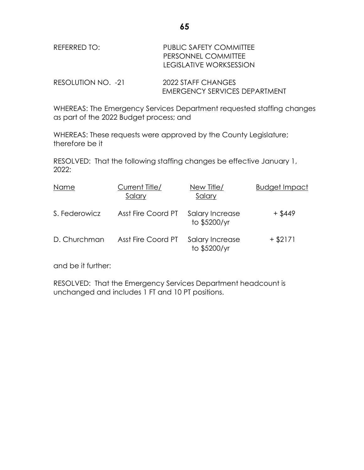| REFERRED TO: | PUBLIC SAFETY COMMITTEE<br>PERSONNEL COMMITTEE |
|--------------|------------------------------------------------|
|              | <b>LEGISLATIVE WORKSESSION</b>                 |

| RESOLUTION NO. -21 | 2022 STAFF CHANGES                   |
|--------------------|--------------------------------------|
|                    | <b>EMERGENCY SERVICES DEPARTMENT</b> |

WHEREAS: The Emergency Services Department requested staffing changes as part of the 2022 Budget process; and

WHEREAS: These requests were approved by the County Legislature; therefore be it

RESOLVED: That the following staffing changes be effective January 1, 2022:

| Name          | Current Title/<br>Salary | New Title/<br>Salary            | <b>Budget Impact</b> |
|---------------|--------------------------|---------------------------------|----------------------|
| S. Federowicz | Asst Fire Coord PT       | Salary Increase<br>to \$5200/yr | + \$449              |
| D. Churchman  | Asst Fire Coord PT       | Salary Increase<br>to \$5200/yr | $+$ \$2171           |

and be it further:

RESOLVED: That the Emergency Services Department headcount is unchanged and includes 1 FT and 10 PT positions.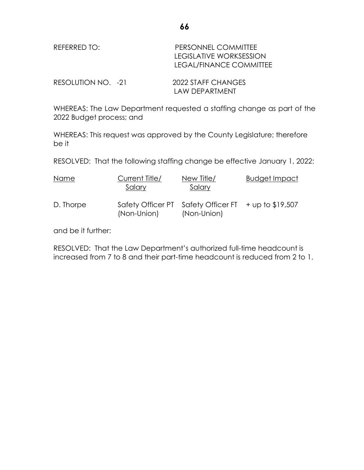| REFERRED TO:       | PERSONNEL COMMITTEE<br><b>LEGISLATIVE WORKSESSION</b><br>LEGAL/FINANCE COMMITTEE |  |
|--------------------|----------------------------------------------------------------------------------|--|
| RESOLUTION NO. -21 | 2022 STAFF CHANGES<br>LAW DEPARTMENT                                             |  |

WHEREAS: The Law Department requested a staffing change as part of the 2022 Budget process; and

WHEREAS: This request was approved by the County Legislature; therefore be it

RESOLVED: That the following staffing change be effective January 1, 2022:

| Name      | Current Title/<br>Salary | New Title/<br>Salary                                                  | <b>Budget Impact</b> |
|-----------|--------------------------|-----------------------------------------------------------------------|----------------------|
| D. Thorpe | (Non-Union)              | Safety Officer PT Safety Officer FT $+$ up to \$19,507<br>(Non-Union) |                      |

and be it further:

RESOLVED: That the Law Department's authorized full-time headcount is increased from 7 to 8 and their part-time headcount is reduced from 2 to 1.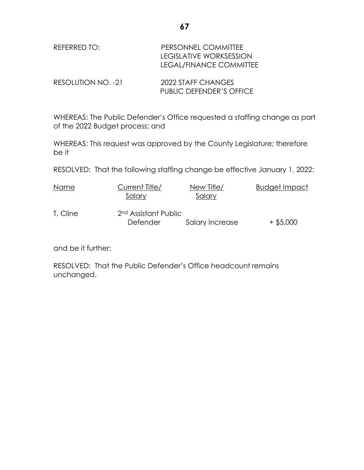| REFERRED TO:       | PERSONNEL COMMITTEE<br><b>LEGISLATIVE WORKSESSION</b><br>LEGAL/FINANCE COMMITTEE |
|--------------------|----------------------------------------------------------------------------------|
| RESOLUTION NO. -21 | 2022 STAFF CHANGES                                                               |

WHEREAS: The Public Defender's Office requested a staffing change as part of the 2022 Budget process; and

PUBLIC DEFENDER'S OFFICE

WHEREAS: This request was approved by the County Legislature; therefore be it

RESOLVED: That the following staffing change be effective January 1, 2022:

| Name     | Current Title/<br>Salary                     | New Title/<br>Salary | <b>Budget Impact</b> |
|----------|----------------------------------------------|----------------------|----------------------|
| T. Cline | 2 <sup>nd</sup> Assistant Public<br>Defender | Salary Increase      | $+$ \$5,000          |

and be it further:

RESOLVED: That the Public Defender's Office headcount remains unchanged.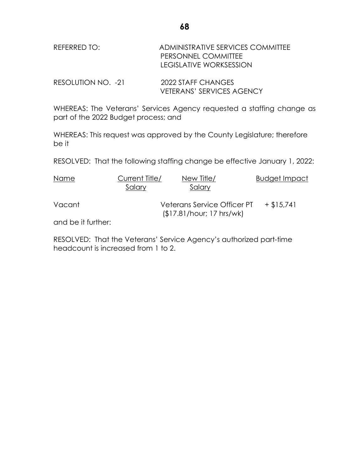| REFERRED TO:       | ADMINISTRATIVE SERVICES COMMITTEE<br>PERSONNEL COMMITTEE<br>LEGISLATIVE WORKSESSION |
|--------------------|-------------------------------------------------------------------------------------|
| RESOLUTION NO. -21 | 2022 STAFF CHANGES<br><b>VETERANS' SERVICES AGENCY</b>                              |

WHEREAS: The Veterans' Services Agency requested a staffing change as part of the 2022 Budget process; and

WHEREAS: This request was approved by the County Legislature; therefore be it

RESOLVED: That the following staffing change be effective January 1, 2022:

| Name               | Current Title/<br>Salary | New Title/<br>Salary                                     | <b>Budget Impact</b> |
|--------------------|--------------------------|----------------------------------------------------------|----------------------|
| Vacant             |                          | Veterans Service Officer PT<br>(\$17.81/hour; 17 hrs/wk) | $+$ \$15,741         |
| and be it further: |                          |                                                          |                      |

RESOLVED: That the Veterans' Service Agency's authorized part-time headcount is increased from 1 to 2.